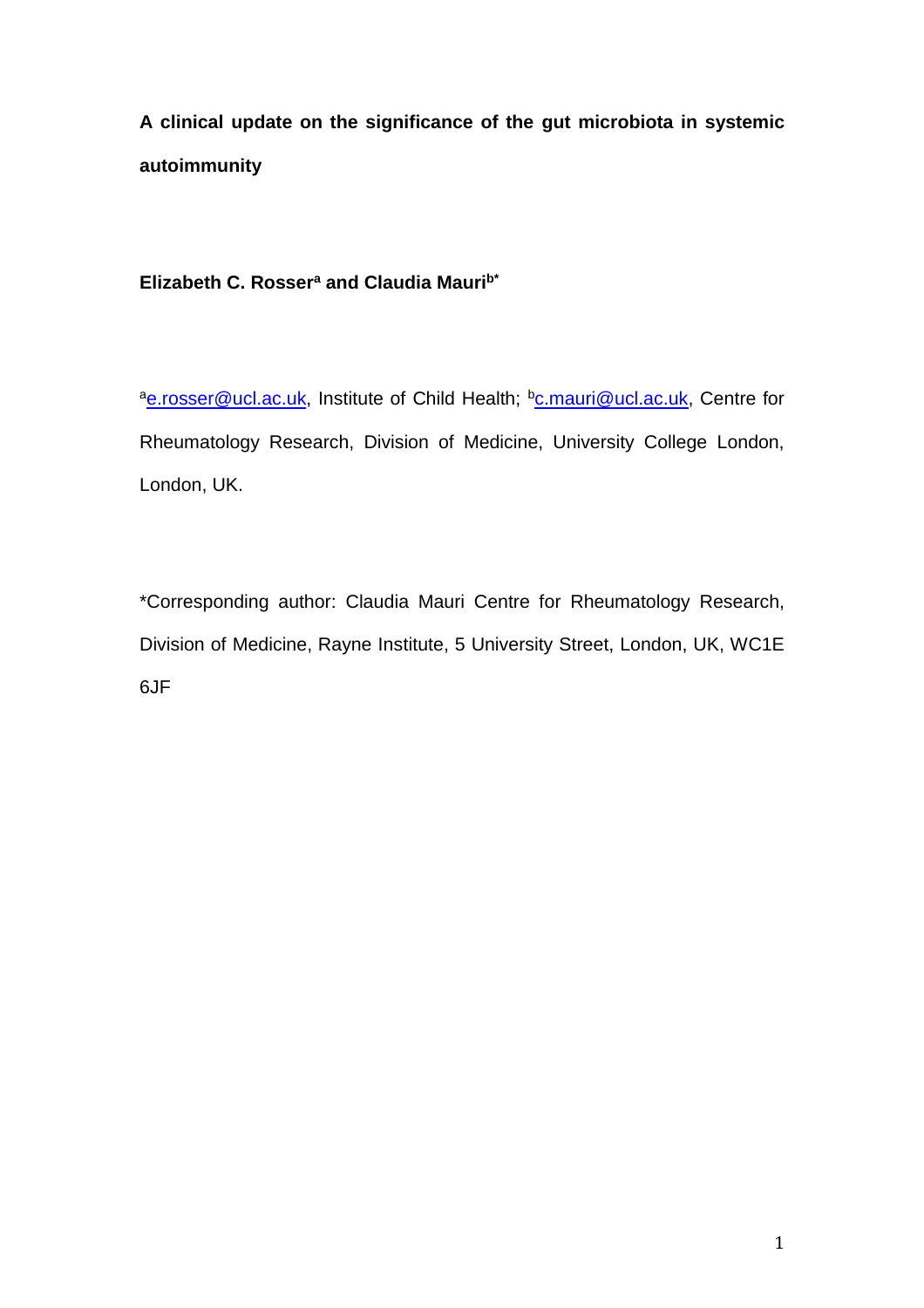**A clinical update on the significance of the gut microbiota in systemic autoimmunity**

**Elizabeth C. Rosser<sup>a</sup> and Claudia Maurib\***

a[e.rosser@ucl.ac.uk,](mailto:e.rosser@ucl.ac.uk) Institute of Child Health; b[c.mauri@ucl.ac.uk,](mailto:c.mauri@ucl.ac.uk) Centre for Rheumatology Research, Division of Medicine, University College London, London, UK.

\*Corresponding author: Claudia Mauri Centre for Rheumatology Research, Division of Medicine, Rayne Institute, 5 University Street, London, UK, WC1E 6JF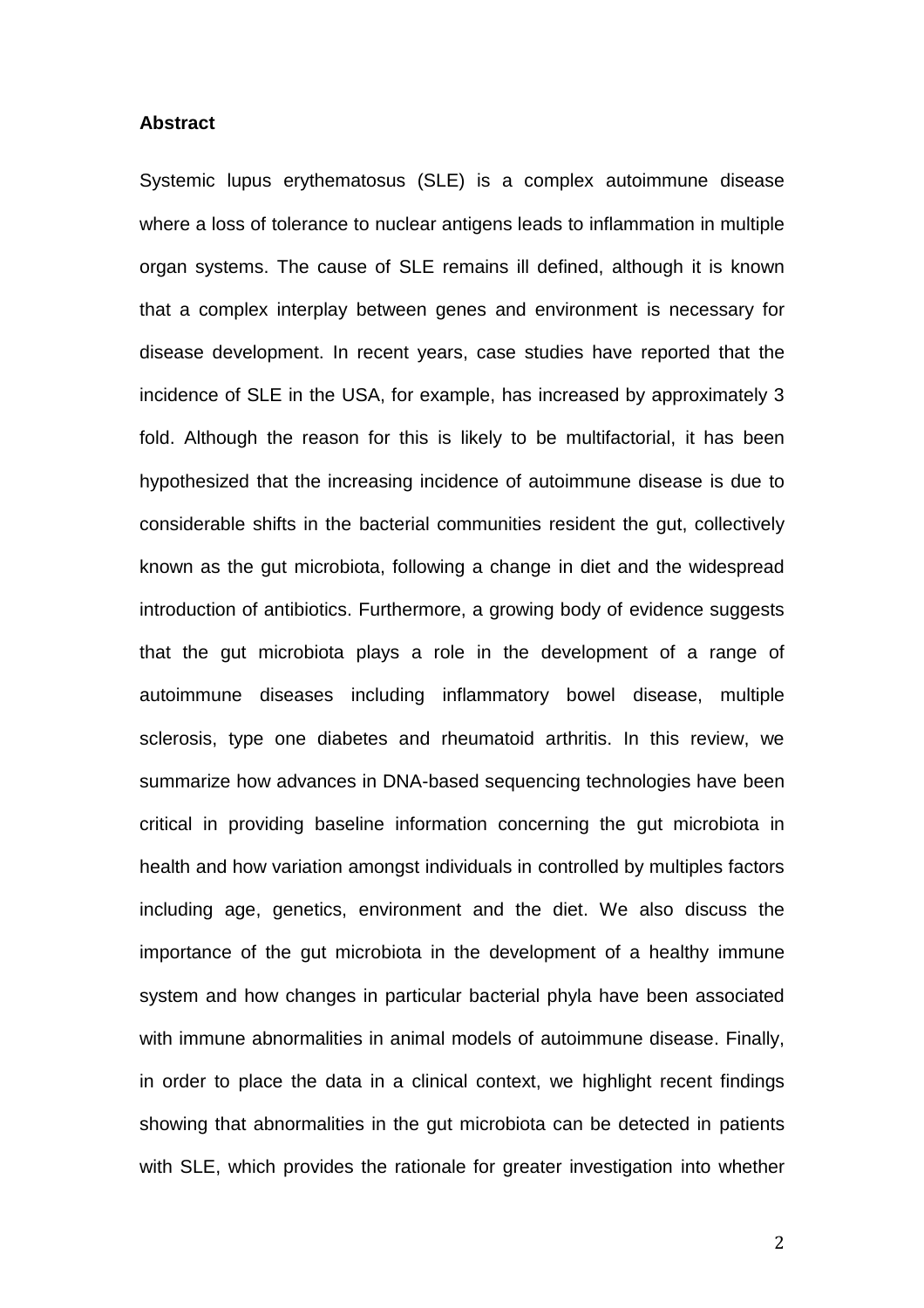### **Abstract**

Systemic lupus erythematosus (SLE) is a complex autoimmune disease where a loss of tolerance to nuclear antigens leads to inflammation in multiple organ systems. The cause of SLE remains ill defined, although it is known that a complex interplay between genes and environment is necessary for disease development. In recent years, case studies have reported that the incidence of SLE in the USA, for example, has increased by approximately 3 fold. Although the reason for this is likely to be multifactorial, it has been hypothesized that the increasing incidence of autoimmune disease is due to considerable shifts in the bacterial communities resident the gut, collectively known as the gut microbiota, following a change in diet and the widespread introduction of antibiotics. Furthermore, a growing body of evidence suggests that the gut microbiota plays a role in the development of a range of autoimmune diseases including inflammatory bowel disease, multiple sclerosis, type one diabetes and rheumatoid arthritis. In this review, we summarize how advances in DNA-based sequencing technologies have been critical in providing baseline information concerning the gut microbiota in health and how variation amongst individuals in controlled by multiples factors including age, genetics, environment and the diet. We also discuss the importance of the gut microbiota in the development of a healthy immune system and how changes in particular bacterial phyla have been associated with immune abnormalities in animal models of autoimmune disease. Finally, in order to place the data in a clinical context, we highlight recent findings showing that abnormalities in the gut microbiota can be detected in patients with SLE, which provides the rationale for greater investigation into whether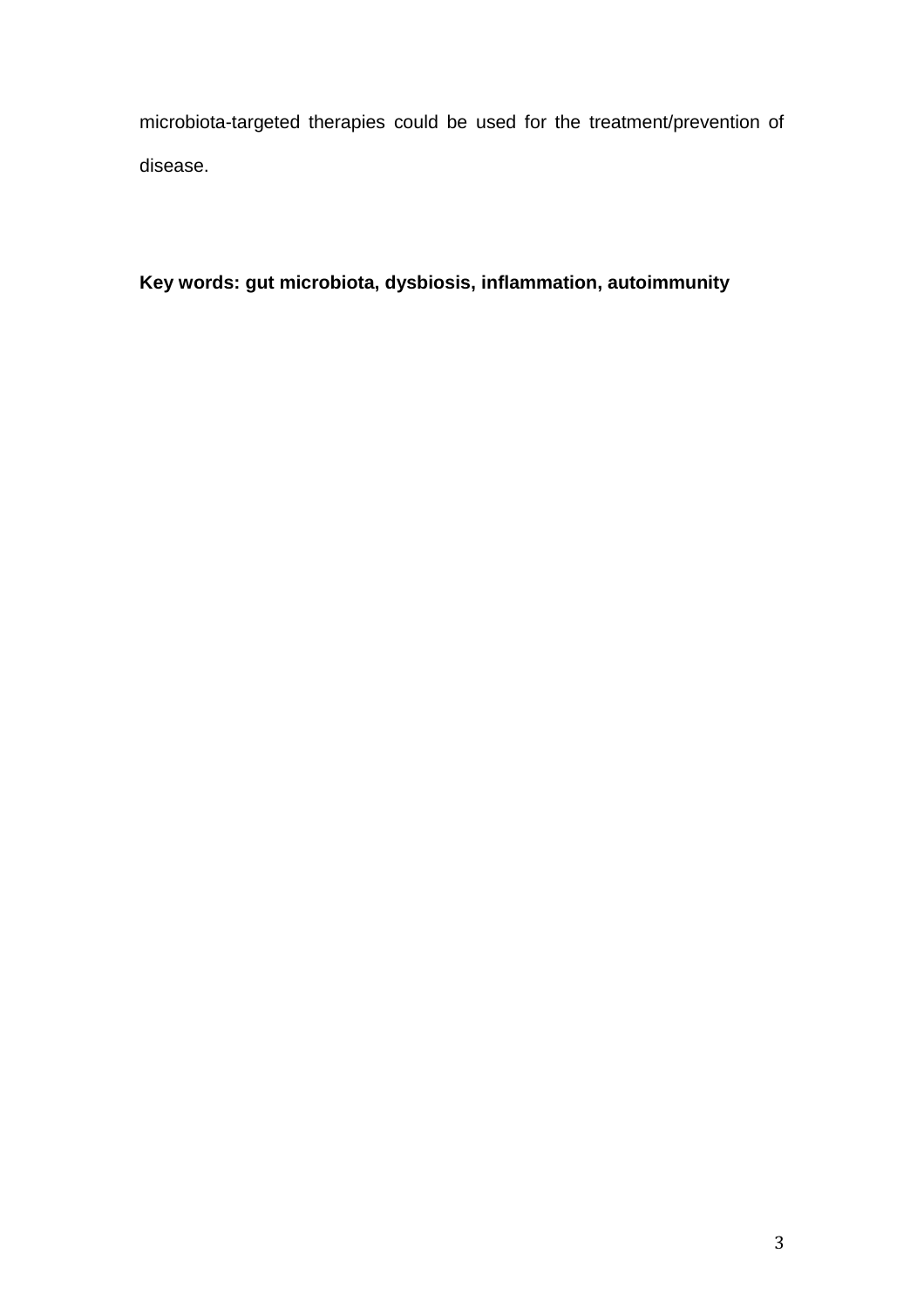microbiota-targeted therapies could be used for the treatment/prevention of disease.

**Key words: gut microbiota, dysbiosis, inflammation, autoimmunity**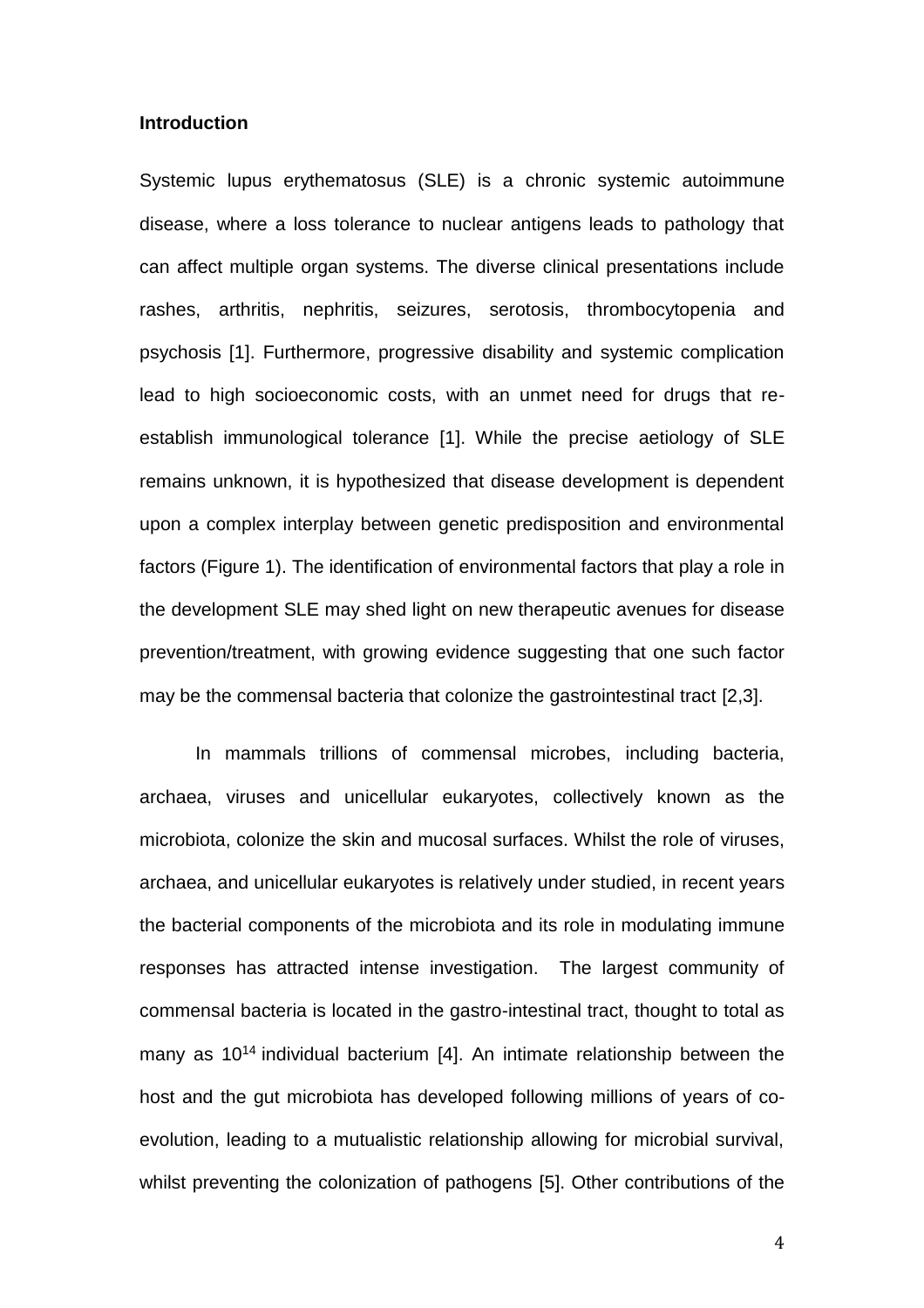## **Introduction**

Systemic lupus erythematosus (SLE) is a chronic systemic autoimmune disease, where a loss tolerance to nuclear antigens leads to pathology that can affect multiple organ systems. The diverse clinical presentations include rashes, arthritis, nephritis, seizures, serotosis, thrombocytopenia and psychosis [\[1\]](#page-21-0). Furthermore, progressive disability and systemic complication lead to high socioeconomic costs, with an unmet need for drugs that reestablish immunological tolerance [\[1\]](#page-21-0). While the precise aetiology of SLE remains unknown, it is hypothesized that disease development is dependent upon a complex interplay between genetic predisposition and environmental factors (Figure 1). The identification of environmental factors that play a role in the development SLE may shed light on new therapeutic avenues for disease prevention/treatment, with growing evidence suggesting that one such factor may be the commensal bacteria that colonize the gastrointestinal tract [\[2](#page-21-1)[,3\]](#page-21-2).

In mammals trillions of commensal microbes, including bacteria, archaea, viruses and unicellular eukaryotes, collectively known as the microbiota, colonize the skin and mucosal surfaces. Whilst the role of viruses, archaea, and unicellular eukaryotes is relatively under studied, in recent years the bacterial components of the microbiota and its role in modulating immune responses has attracted intense investigation. The largest community of commensal bacteria is located in the gastro-intestinal tract, thought to total as many as 10<sup>14</sup> individual bacterium [\[4\]](#page-21-3). An intimate relationship between the host and the gut microbiota has developed following millions of years of coevolution, leading to a mutualistic relationship allowing for microbial survival, whilst preventing the colonization of pathogens [\[5\]](#page-21-4). Other contributions of the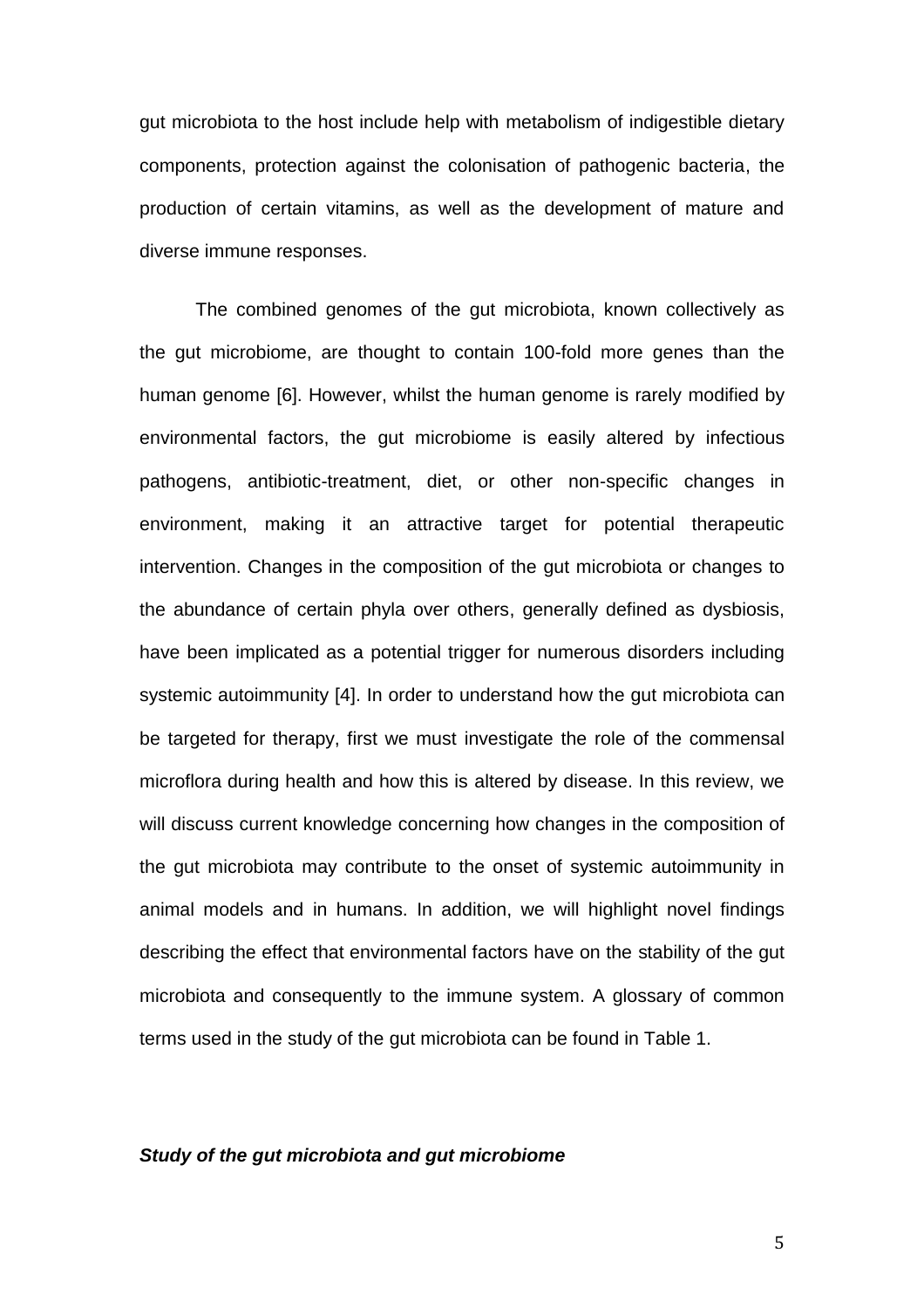gut microbiota to the host include help with metabolism of indigestible dietary components, protection against the colonisation of pathogenic bacteria, the production of certain vitamins, as well as the development of mature and diverse immune responses.

The combined genomes of the gut microbiota, known collectively as the gut microbiome, are thought to contain 100-fold more genes than the human genome [\[6\]](#page-21-5). However, whilst the human genome is rarely modified by environmental factors, the gut microbiome is easily altered by infectious pathogens, antibiotic-treatment, diet, or other non-specific changes in environment, making it an attractive target for potential therapeutic intervention. Changes in the composition of the gut microbiota or changes to the abundance of certain phyla over others, generally defined as dysbiosis, have been implicated as a potential trigger for numerous disorders including systemic autoimmunity [\[4\]](#page-21-3). In order to understand how the gut microbiota can be targeted for therapy, first we must investigate the role of the commensal microflora during health and how this is altered by disease. In this review, we will discuss current knowledge concerning how changes in the composition of the gut microbiota may contribute to the onset of systemic autoimmunity in animal models and in humans. In addition, we will highlight novel findings describing the effect that environmental factors have on the stability of the gut microbiota and consequently to the immune system. A glossary of common terms used in the study of the gut microbiota can be found in Table 1.

## *Study of the gut microbiota and gut microbiome*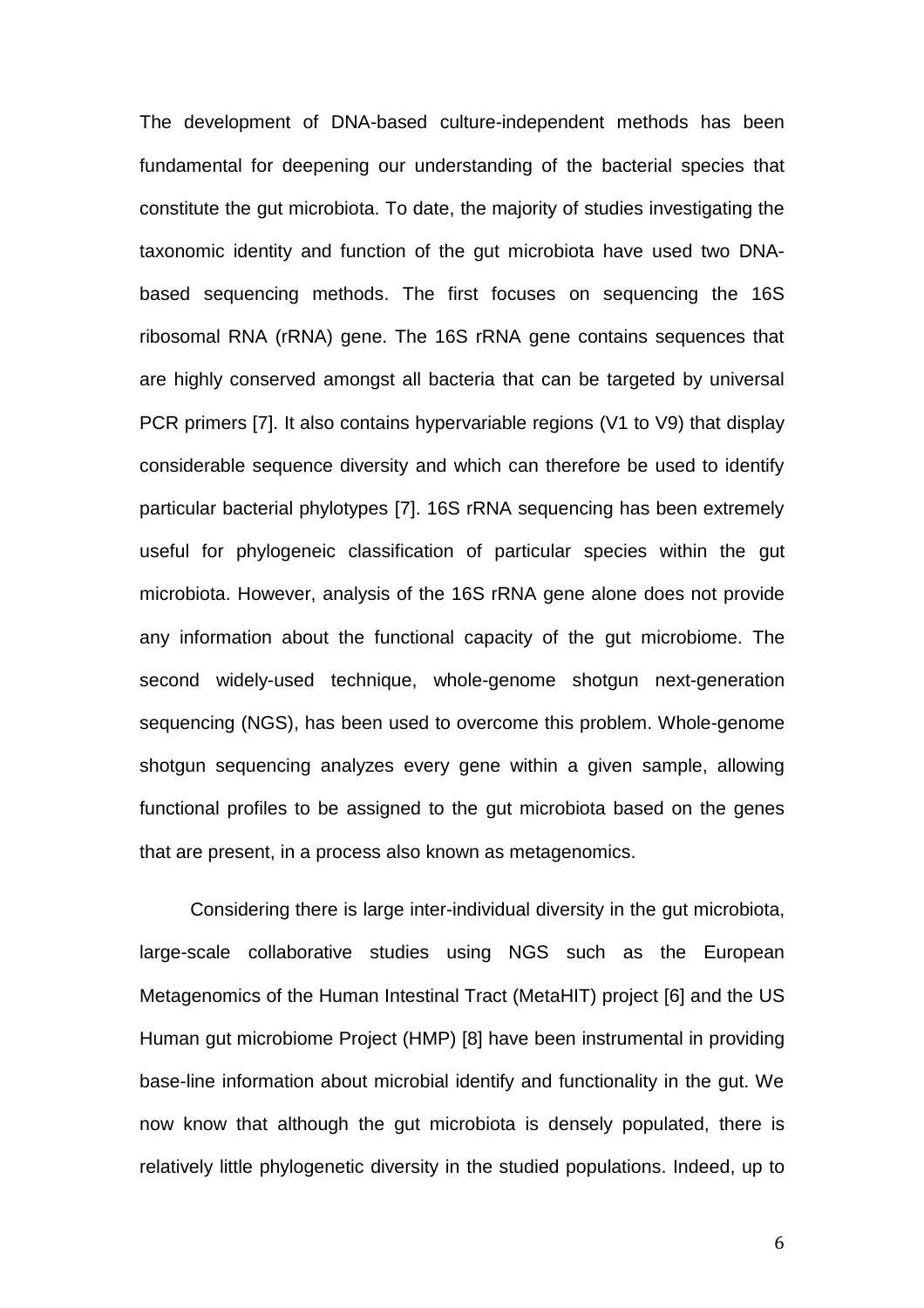The development of DNA-based culture-independent methods has been fundamental for deepening our understanding of the bacterial species that constitute the gut microbiota. To date, the majority of studies investigating the taxonomic identity and function of the gut microbiota have used two DNAbased sequencing methods. The first focuses on sequencing the 16S ribosomal RNA (rRNA) gene. The 16S rRNA gene contains sequences that are highly conserved amongst all bacteria that can be targeted by universal PCR primers [\[7\]](#page-22-0). It also contains hypervariable regions (V1 to V9) that display considerable sequence diversity and which can therefore be used to identify particular bacterial phylotypes [\[7\]](#page-22-0). 16S rRNA sequencing has been extremely useful for phylogeneic classification of particular species within the gut microbiota. However, analysis of the 16S rRNA gene alone does not provide any information about the functional capacity of the gut microbiome. The second widely-used technique, whole-genome shotgun next-generation sequencing (NGS), has been used to overcome this problem. Whole-genome shotgun sequencing analyzes every gene within a given sample, allowing functional profiles to be assigned to the gut microbiota based on the genes that are present, in a process also known as metagenomics.

Considering there is large inter-individual diversity in the gut microbiota, large-scale collaborative studies using NGS such as the European Metagenomics of the Human Intestinal Tract (MetaHIT) project [\[6\]](#page-21-5) and the US Human gut microbiome Project (HMP) [\[8\]](#page-22-1) have been instrumental in providing base-line information about microbial identify and functionality in the gut. We now know that although the gut microbiota is densely populated, there is relatively little phylogenetic diversity in the studied populations. Indeed, up to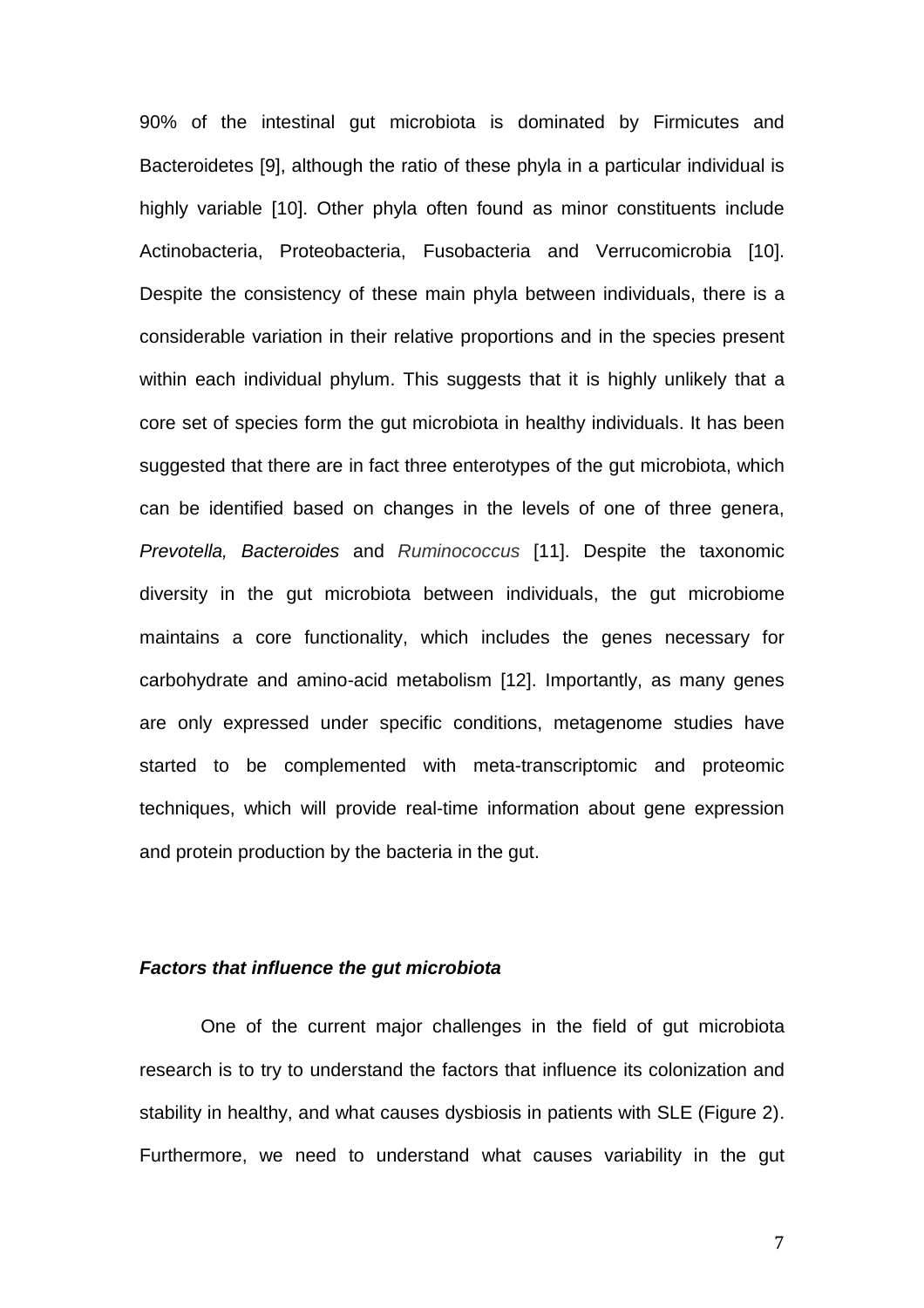90% of the intestinal gut microbiota is dominated by Firmicutes and Bacteroidetes [\[9\]](#page-22-2), although the ratio of these phyla in a particular individual is highly variable [\[10\]](#page-22-3). Other phyla often found as minor constituents include Actinobacteria, Proteobacteria, Fusobacteria and Verrucomicrobia [\[10\]](#page-22-3). Despite the consistency of these main phyla between individuals, there is a considerable variation in their relative proportions and in the species present within each individual phylum. This suggests that it is highly unlikely that a core set of species form the gut microbiota in healthy individuals. It has been suggested that there are in fact three enterotypes of the gut microbiota, which can be identified based on changes in the levels of one of three genera, *Prevotella, Bacteroides* and *Ruminococcus* [\[11\]](#page-22-4). Despite the taxonomic diversity in the gut microbiota between individuals, the gut microbiome maintains a core functionality, which includes the genes necessary for carbohydrate and amino-acid metabolism [\[12\]](#page-23-0). Importantly, as many genes are only expressed under specific conditions, metagenome studies have started to be complemented with meta-transcriptomic and proteomic techniques, which will provide real-time information about gene expression and protein production by the bacteria in the gut.

## *Factors that influence the gut microbiota*

One of the current major challenges in the field of gut microbiota research is to try to understand the factors that influence its colonization and stability in healthy, and what causes dysbiosis in patients with SLE (Figure 2). Furthermore, we need to understand what causes variability in the gut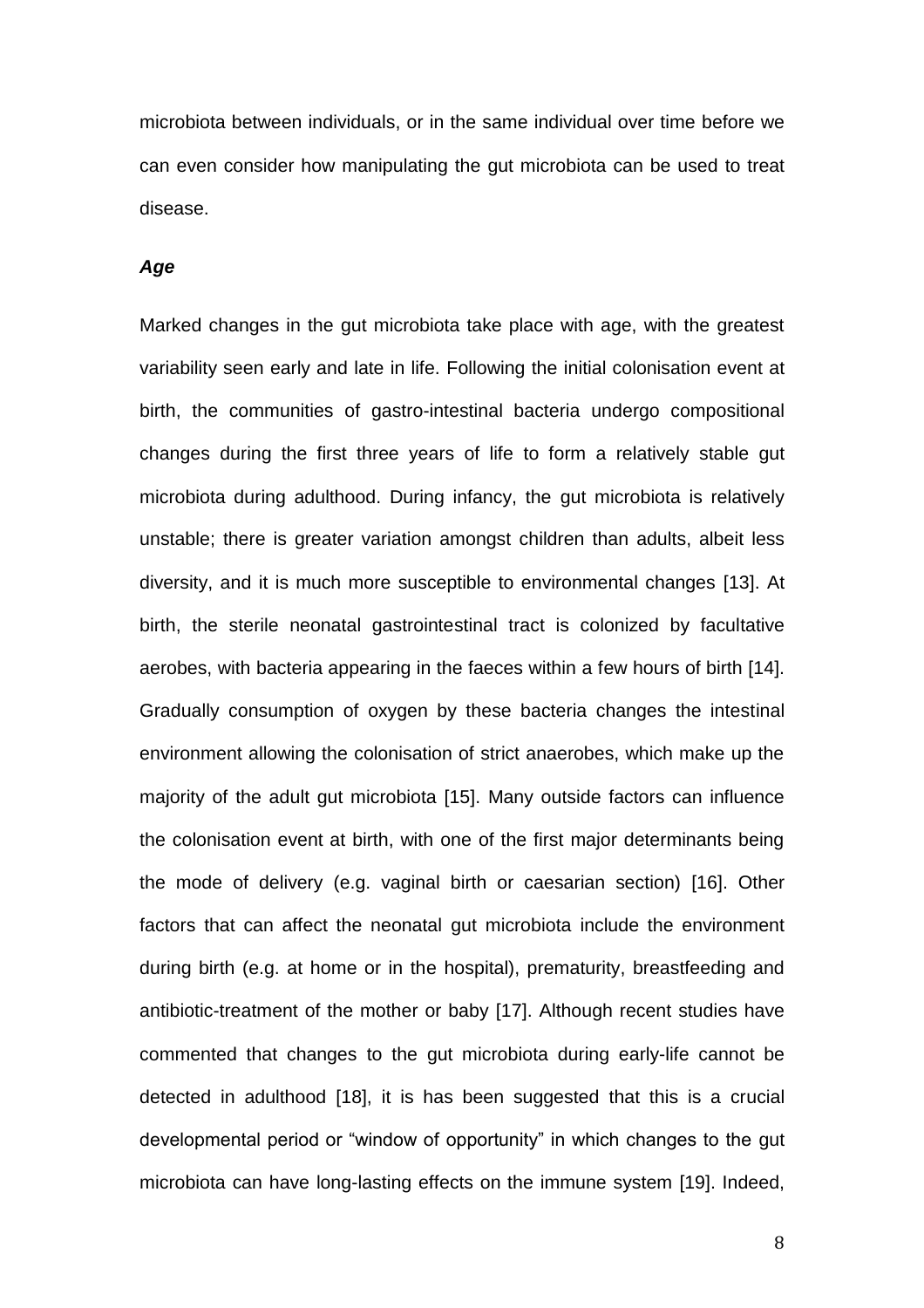microbiota between individuals, or in the same individual over time before we can even consider how manipulating the gut microbiota can be used to treat disease.

### *Age*

Marked changes in the gut microbiota take place with age, with the greatest variability seen early and late in life. Following the initial colonisation event at birth, the communities of gastro-intestinal bacteria undergo compositional changes during the first three years of life to form a relatively stable gut microbiota during adulthood. During infancy, the gut microbiota is relatively unstable; there is greater variation amongst children than adults, albeit less diversity, and it is much more susceptible to environmental changes [\[13\]](#page-23-1). At birth, the sterile neonatal gastrointestinal tract is colonized by facultative aerobes, with bacteria appearing in the faeces within a few hours of birth [\[14\]](#page-23-2). Gradually consumption of oxygen by these bacteria changes the intestinal environment allowing the colonisation of strict anaerobes, which make up the majority of the adult gut microbiota [\[15\]](#page-23-3). Many outside factors can influence the colonisation event at birth, with one of the first major determinants being the mode of delivery (e.g. vaginal birth or caesarian section) [\[16\]](#page-23-4). Other factors that can affect the neonatal gut microbiota include the environment during birth (e.g. at home or in the hospital), prematurity, breastfeeding and antibiotic-treatment of the mother or baby [\[17\]](#page-24-0). Although recent studies have commented that changes to the gut microbiota during early-life cannot be detected in adulthood [\[18\]](#page-24-1), it is has been suggested that this is a crucial developmental period or "window of opportunity" in which changes to the gut microbiota can have long-lasting effects on the immune system [\[19\]](#page-24-2). Indeed,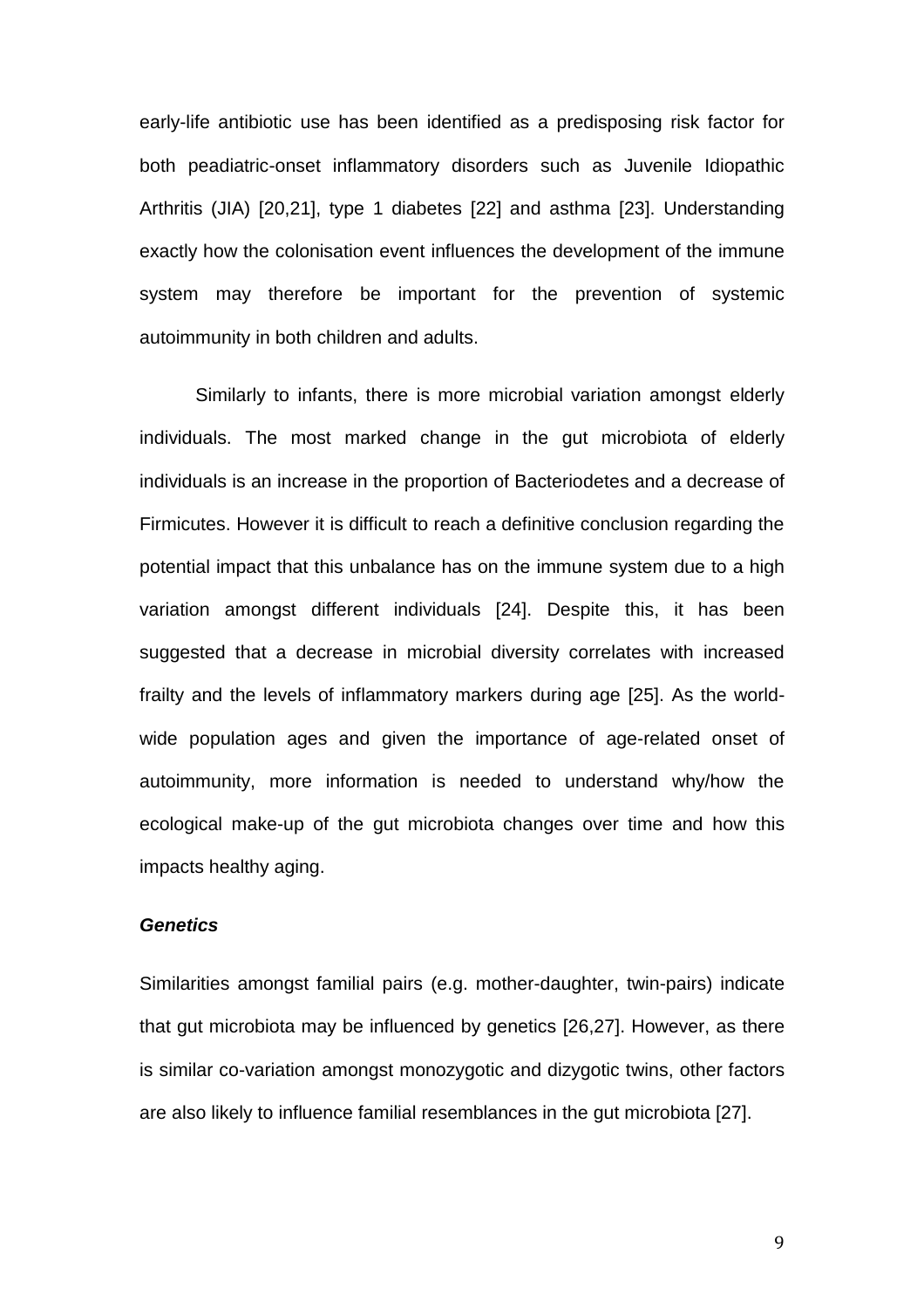early-life antibiotic use has been identified as a predisposing risk factor for both peadiatric-onset inflammatory disorders such as Juvenile Idiopathic Arthritis (JIA) [\[20](#page-24-3)[,21\]](#page-24-4), type 1 diabetes [\[22\]](#page-24-5) and asthma [\[23\]](#page-25-0). Understanding exactly how the colonisation event influences the development of the immune system may therefore be important for the prevention of systemic autoimmunity in both children and adults.

Similarly to infants, there is more microbial variation amongst elderly individuals. The most marked change in the gut microbiota of elderly individuals is an increase in the proportion of Bacteriodetes and a decrease of Firmicutes. However it is difficult to reach a definitive conclusion regarding the potential impact that this unbalance has on the immune system due to a high variation amongst different individuals [\[24\]](#page-25-1). Despite this, it has been suggested that a decrease in microbial diversity correlates with increased frailty and the levels of inflammatory markers during age [\[25\]](#page-25-2). As the worldwide population ages and given the importance of age-related onset of autoimmunity, more information is needed to understand why/how the ecological make-up of the gut microbiota changes over time and how this impacts healthy aging.

## *Genetics*

Similarities amongst familial pairs (e.g. mother-daughter, twin-pairs) indicate that gut microbiota may be influenced by genetics [\[26](#page-25-3)[,27\]](#page-25-4). However, as there is similar co-variation amongst monozygotic and dizygotic twins, other factors are also likely to influence familial resemblances in the gut microbiota [\[27\]](#page-25-4).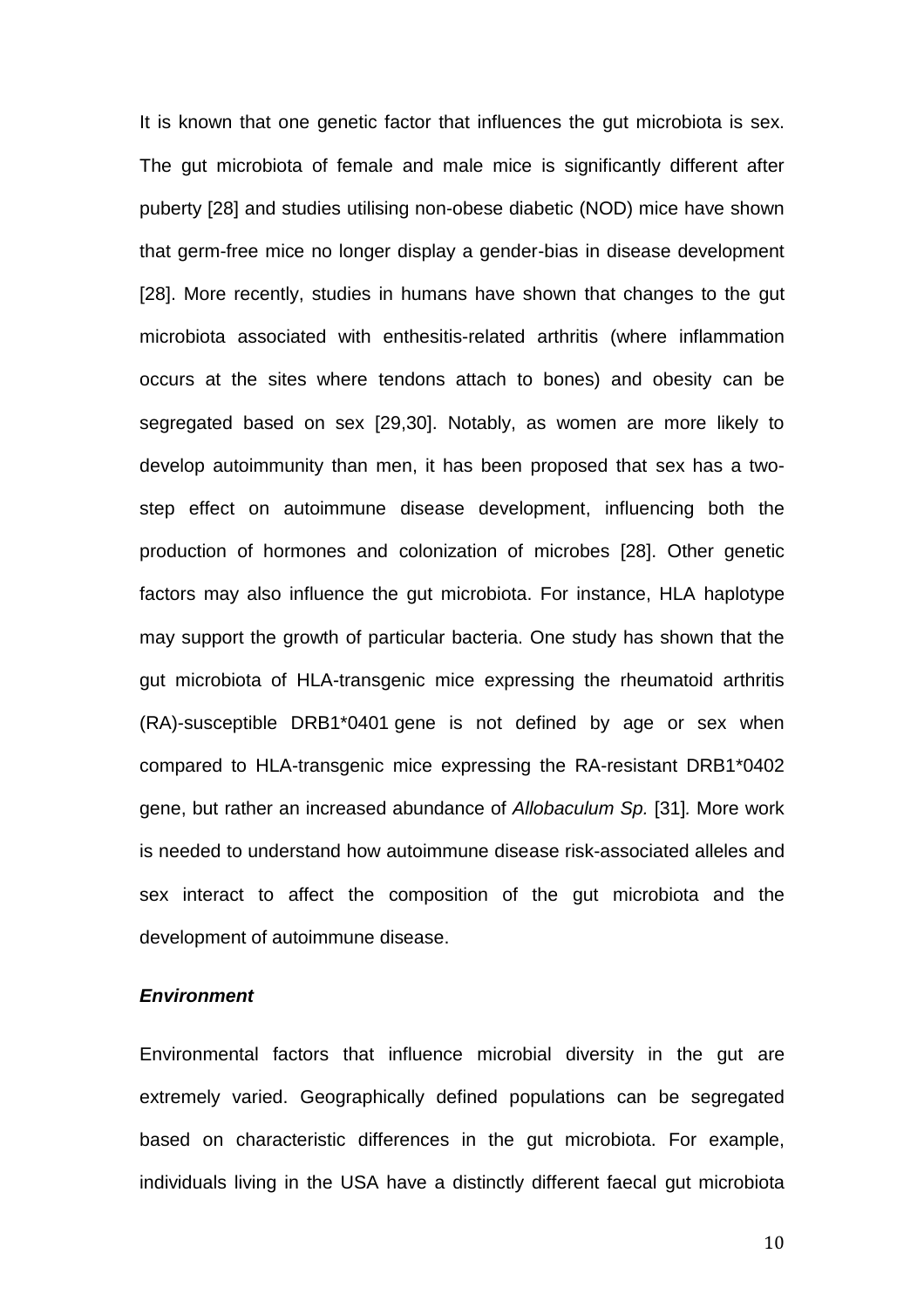It is known that one genetic factor that influences the gut microbiota is sex. The gut microbiota of female and male mice is significantly different after puberty [\[28\]](#page-25-5) and studies utilising non-obese diabetic (NOD) mice have shown that germ-free mice no longer display a gender-bias in disease development [\[28\]](#page-25-5). More recently, studies in humans have shown that changes to the gut microbiota associated with enthesitis-related arthritis (where inflammation occurs at the sites where tendons attach to bones) and obesity can be segregated based on sex [\[29](#page-26-0)[,30\]](#page-26-1). Notably, as women are more likely to develop autoimmunity than men, it has been proposed that sex has a twostep effect on autoimmune disease development, influencing both the production of hormones and colonization of microbes [\[28\]](#page-25-5). Other genetic factors may also influence the gut microbiota. For instance, HLA haplotype may support the growth of particular bacteria. One study has shown that the gut microbiota of HLA-transgenic mice expressing the rheumatoid arthritis (RA)-susceptible DRB1\*0401 gene is not defined by age or sex when compared to HLA-transgenic mice expressing the RA-resistant DRB1\*0402 gene, but rather an increased abundance of *Allobaculum Sp.* [\[31\]](#page-26-2)*.* More work is needed to understand how autoimmune disease risk-associated alleles and sex interact to affect the composition of the gut microbiota and the development of autoimmune disease.

## *Environment*

Environmental factors that influence microbial diversity in the gut are extremely varied. Geographically defined populations can be segregated based on characteristic differences in the gut microbiota. For example, individuals living in the USA have a distinctly different faecal gut microbiota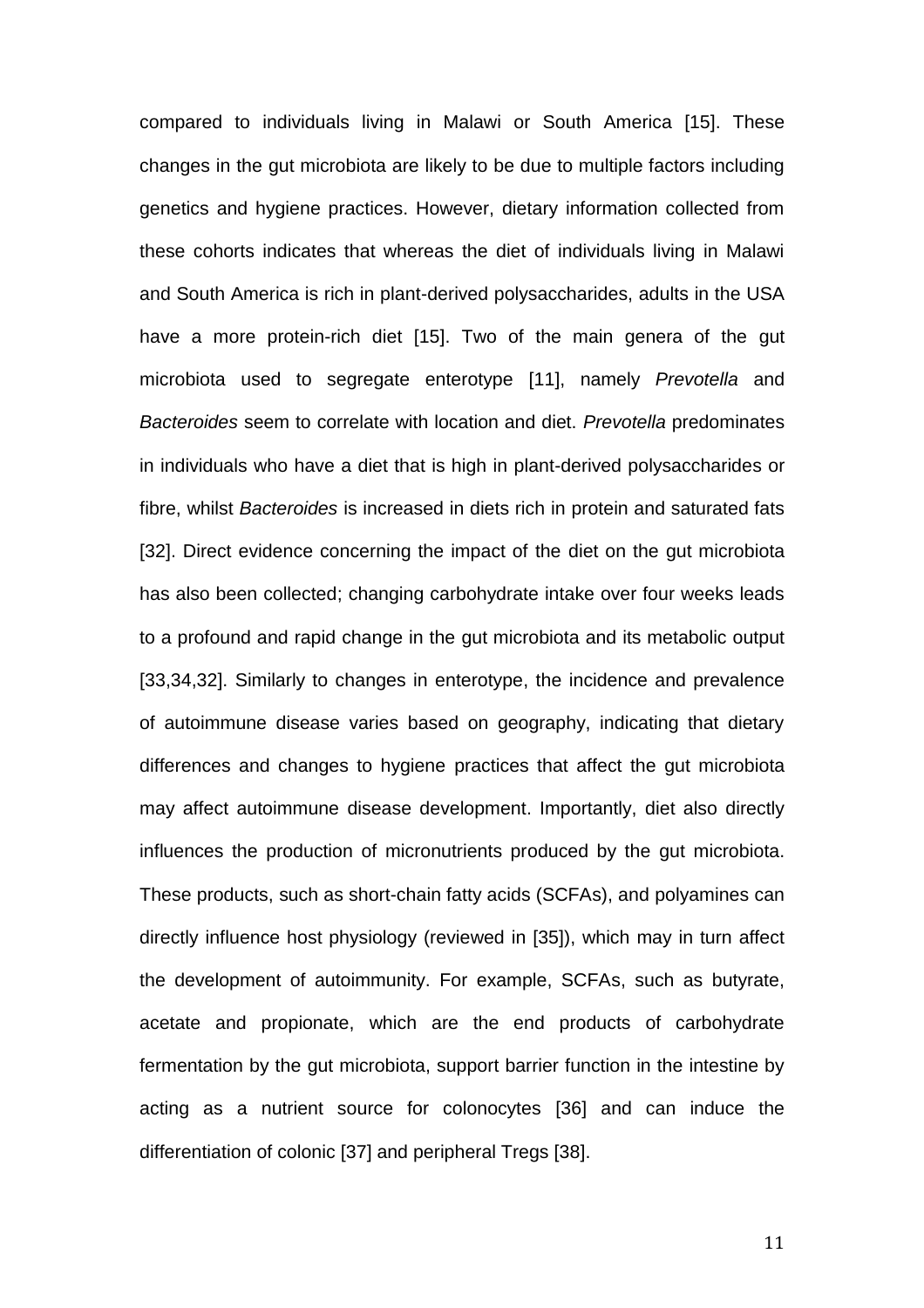compared to individuals living in Malawi or South America [\[15\]](#page-23-3). These changes in the gut microbiota are likely to be due to multiple factors including genetics and hygiene practices. However, dietary information collected from these cohorts indicates that whereas the diet of individuals living in Malawi and South America is rich in plant-derived polysaccharides, adults in the USA have a more protein-rich diet [\[15\]](#page-23-3). Two of the main genera of the gut microbiota used to segregate enterotype [\[11\]](#page-22-4), namely *Prevotella* and *Bacteroides* seem to correlate with location and diet. *Prevotella* predominates in individuals who have a diet that is high in plant-derived polysaccharides or fibre, whilst *Bacteroides* is increased in diets rich in protein and saturated fats [\[32\]](#page-26-3). Direct evidence concerning the impact of the diet on the gut microbiota has also been collected; changing carbohydrate intake over four weeks leads to a profound and rapid change in the gut microbiota and its metabolic output [\[33,](#page-26-4)[34](#page-26-5)[,32\]](#page-26-3). Similarly to changes in enterotype, the incidence and prevalence of autoimmune disease varies based on geography, indicating that dietary differences and changes to hygiene practices that affect the gut microbiota may affect autoimmune disease development. Importantly, diet also directly influences the production of micronutrients produced by the gut microbiota. These products, such as short-chain fatty acids (SCFAs), and polyamines can directly influence host physiology (reviewed in [\[35\]](#page-27-0)), which may in turn affect the development of autoimmunity. For example, SCFAs, such as butyrate, acetate and propionate, which are the end products of carbohydrate fermentation by the gut microbiota, support barrier function in the intestine by acting as a nutrient source for colonocytes [\[36\]](#page-27-1) and can induce the differentiation of colonic [\[37\]](#page-27-2) and peripheral Tregs [\[38\]](#page-27-3).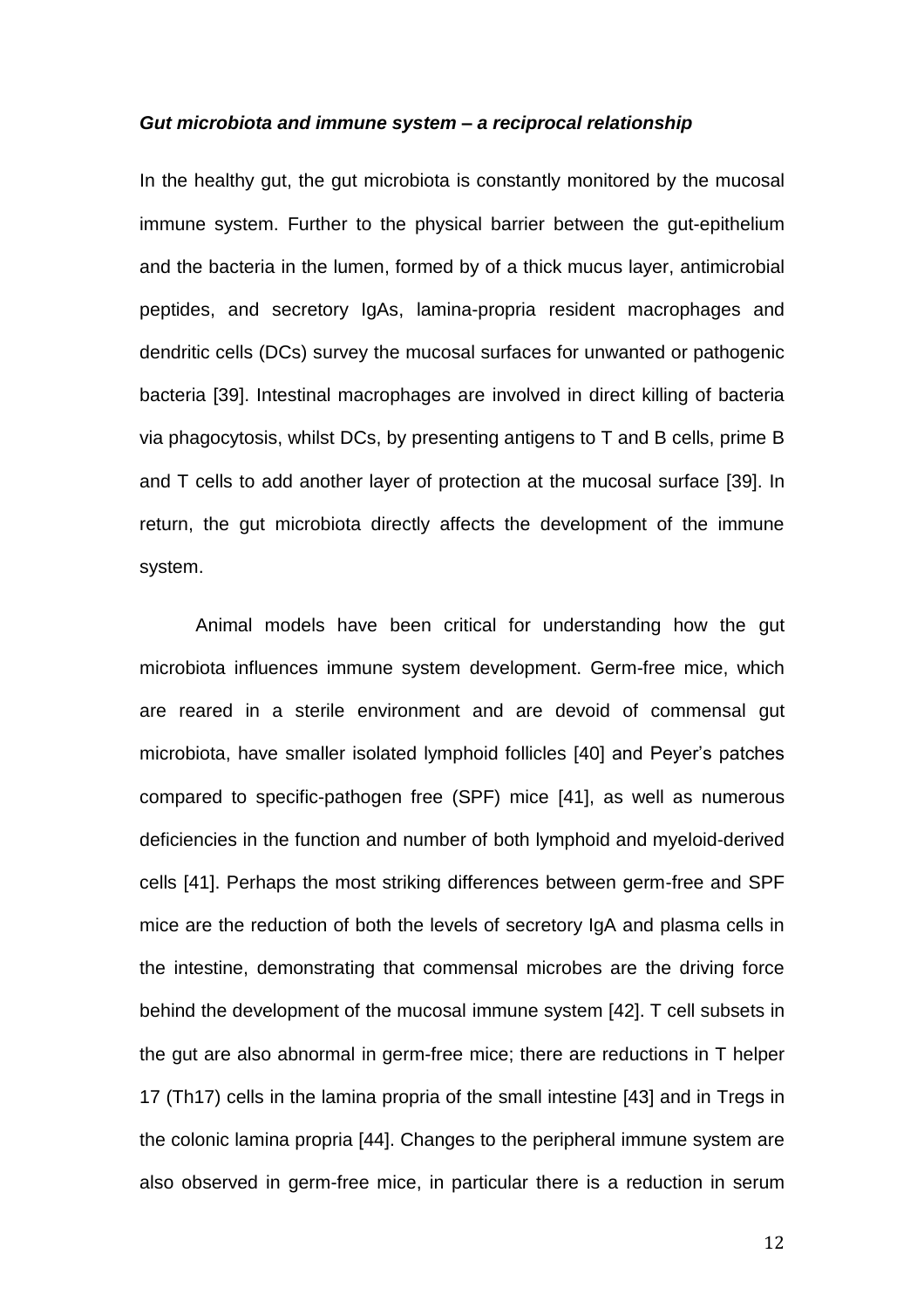#### *Gut microbiota and immune system – a reciprocal relationship*

In the healthy gut, the gut microbiota is constantly monitored by the mucosal immune system. Further to the physical barrier between the gut-epithelium and the bacteria in the lumen, formed by of a thick mucus layer, antimicrobial peptides, and secretory IgAs, lamina-propria resident macrophages and dendritic cells (DCs) survey the mucosal surfaces for unwanted or pathogenic bacteria [\[39\]](#page-27-4). Intestinal macrophages are involved in direct killing of bacteria via phagocytosis, whilst DCs, by presenting antigens to T and B cells, prime B and T cells to add another layer of protection at the mucosal surface [\[39\]](#page-27-4). In return, the gut microbiota directly affects the development of the immune system.

Animal models have been critical for understanding how the gut microbiota influences immune system development. Germ-free mice, which are reared in a sterile environment and are devoid of commensal gut microbiota, have smaller isolated lymphoid follicles [\[40\]](#page-27-5) and Peyer's patches compared to specific-pathogen free (SPF) mice [\[41\]](#page-28-0), as well as numerous deficiencies in the function and number of both lymphoid and myeloid-derived cells [\[41\]](#page-28-0). Perhaps the most striking differences between germ-free and SPF mice are the reduction of both the levels of secretory IgA and plasma cells in the intestine, demonstrating that commensal microbes are the driving force behind the development of the mucosal immune system [\[42\]](#page-28-1). T cell subsets in the gut are also abnormal in germ-free mice; there are reductions in T helper 17 (Th17) cells in the lamina propria of the small intestine [\[43\]](#page-28-2) and in Tregs in the colonic lamina propria [\[44\]](#page-28-3). Changes to the peripheral immune system are also observed in germ-free mice, in particular there is a reduction in serum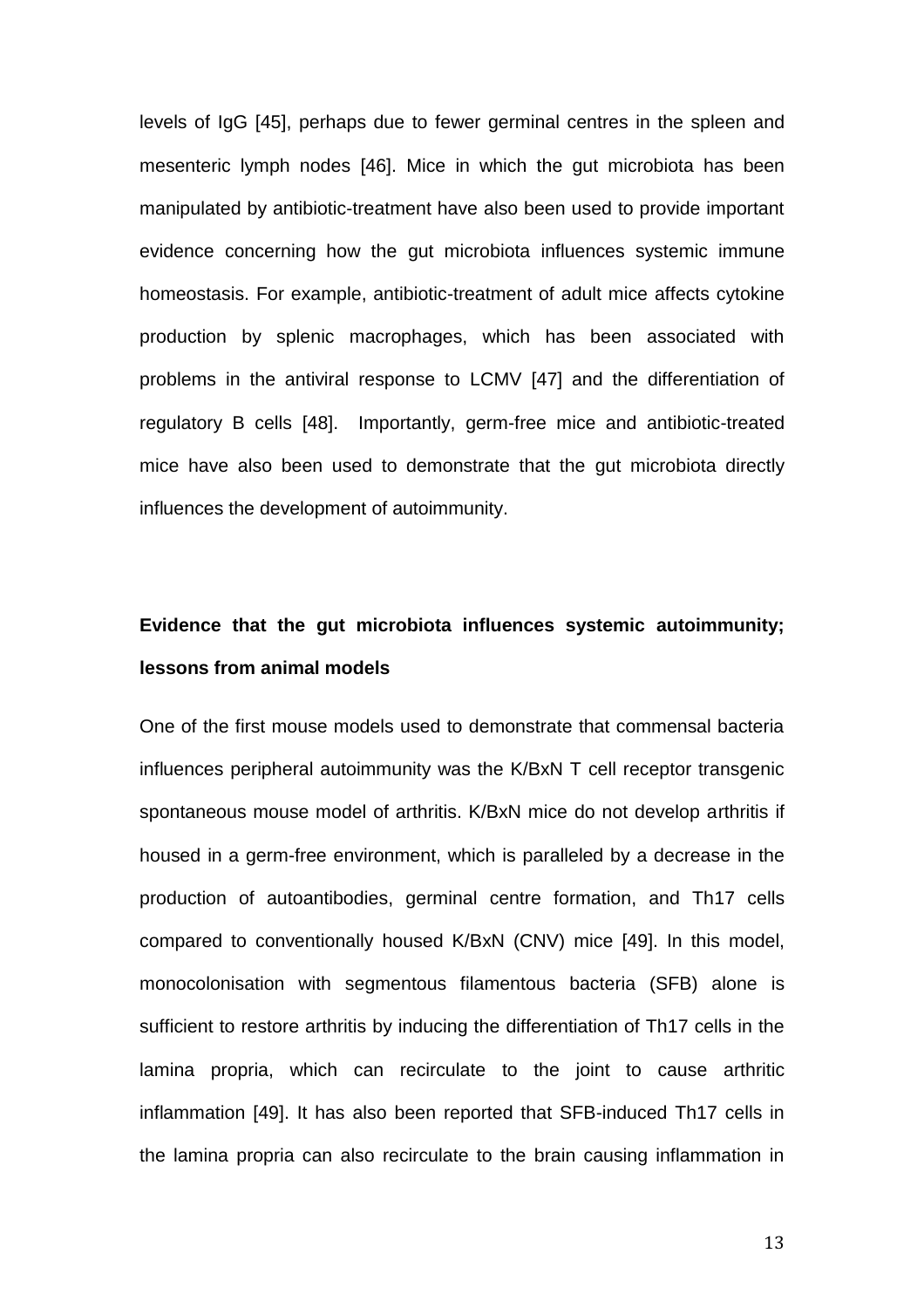levels of IgG [\[45\]](#page-28-4), perhaps due to fewer germinal centres in the spleen and mesenteric lymph nodes [\[46\]](#page-28-5). Mice in which the gut microbiota has been manipulated by antibiotic-treatment have also been used to provide important evidence concerning how the gut microbiota influences systemic immune homeostasis. For example, antibiotic-treatment of adult mice affects cytokine production by splenic macrophages, which has been associated with problems in the antiviral response to LCMV [\[47\]](#page-28-6) and the differentiation of regulatory B cells [\[48\]](#page-29-0). Importantly, germ-free mice and antibiotic-treated mice have also been used to demonstrate that the gut microbiota directly influences the development of autoimmunity.

# **Evidence that the gut microbiota influences systemic autoimmunity; lessons from animal models**

One of the first mouse models used to demonstrate that commensal bacteria influences peripheral autoimmunity was the K/BxN T cell receptor transgenic spontaneous mouse model of arthritis. K/BxN mice do not develop arthritis if housed in a germ-free environment, which is paralleled by a decrease in the production of autoantibodies, germinal centre formation, and Th17 cells compared to conventionally housed K/BxN (CNV) mice [\[49\]](#page-29-1). In this model, monocolonisation with segmentous filamentous bacteria (SFB) alone is sufficient to restore arthritis by inducing the differentiation of Th17 cells in the lamina propria, which can recirculate to the joint to cause arthritic inflammation [\[49\]](#page-29-1). It has also been reported that SFB-induced Th17 cells in the lamina propria can also recirculate to the brain causing inflammation in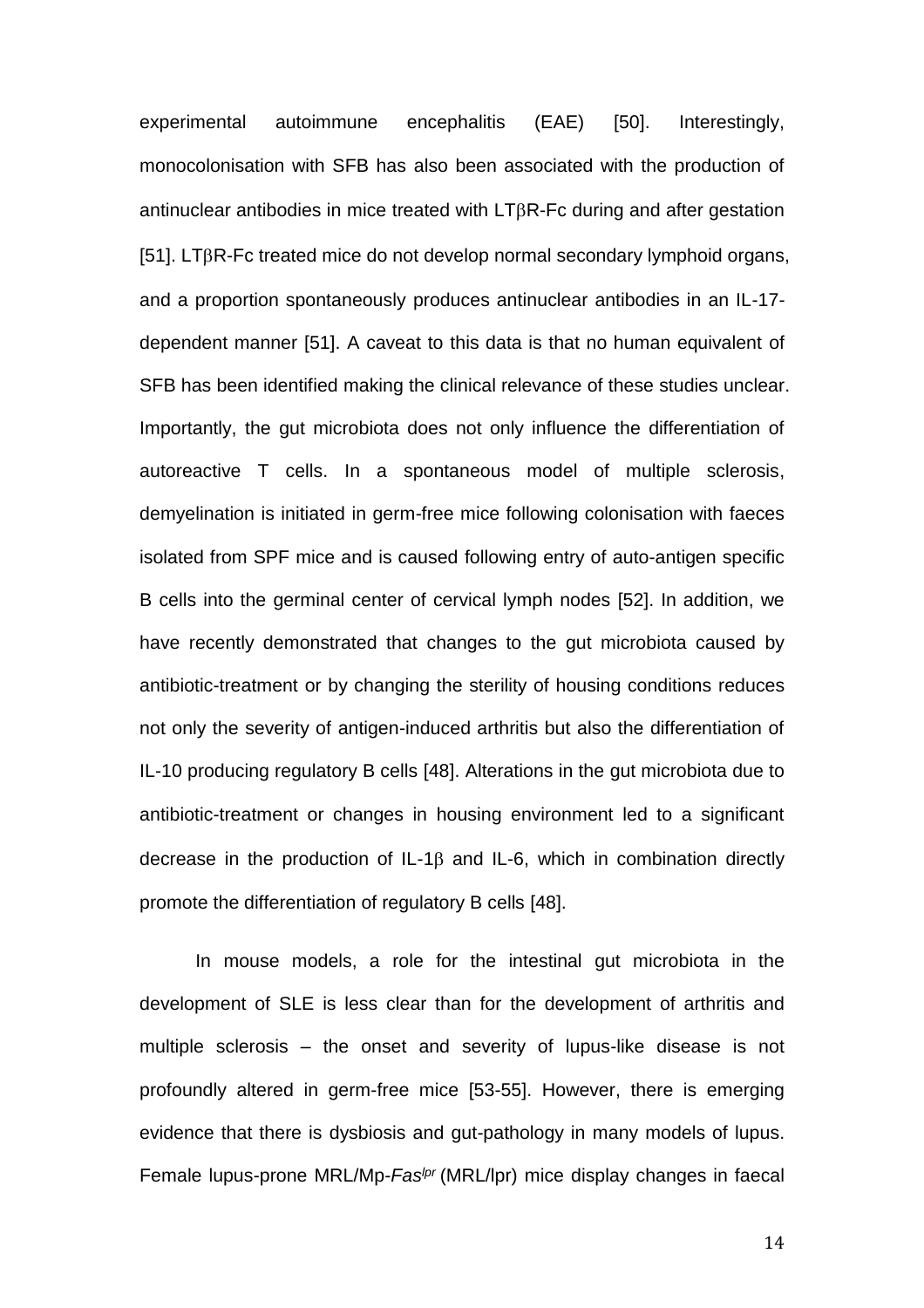experimental autoimmune encephalitis (EAE) [\[50\]](#page-29-2). Interestingly, monocolonisation with SFB has also been associated with the production of antinuclear antibodies in mice treated with  $LT\beta R$ -Fc during and after gestation [\[51\]](#page-29-3). LT $\beta$ R-Fc treated mice do not develop normal secondary lymphoid organs, and a proportion spontaneously produces antinuclear antibodies in an IL-17 dependent manner [\[51\]](#page-29-3). A caveat to this data is that no human equivalent of SFB has been identified making the clinical relevance of these studies unclear. Importantly, the gut microbiota does not only influence the differentiation of autoreactive T cells. In a spontaneous model of multiple sclerosis, demyelination is initiated in germ-free mice following colonisation with faeces isolated from SPF mice and is caused following entry of auto-antigen specific B cells into the germinal center of cervical lymph nodes [\[52\]](#page-29-4). In addition, we have recently demonstrated that changes to the gut microbiota caused by antibiotic-treatment or by changing the sterility of housing conditions reduces not only the severity of antigen-induced arthritis but also the differentiation of IL-10 producing regulatory B cells [\[48\]](#page-29-0). Alterations in the gut microbiota due to antibiotic-treatment or changes in housing environment led to a significant decrease in the production of IL-1 $\beta$  and IL-6, which in combination directly promote the differentiation of regulatory B cells [\[48\]](#page-29-0).

In mouse models, a role for the intestinal gut microbiota in the development of SLE is less clear than for the development of arthritis and multiple sclerosis – the onset and severity of lupus-like disease is not profoundly altered in germ-free mice [\[53-55\]](#page-29-5). However, there is emerging evidence that there is dysbiosis and gut-pathology in many models of lupus. Female lupus-prone MRL/Mp-*Faslpr* (MRL/lpr) mice display changes in faecal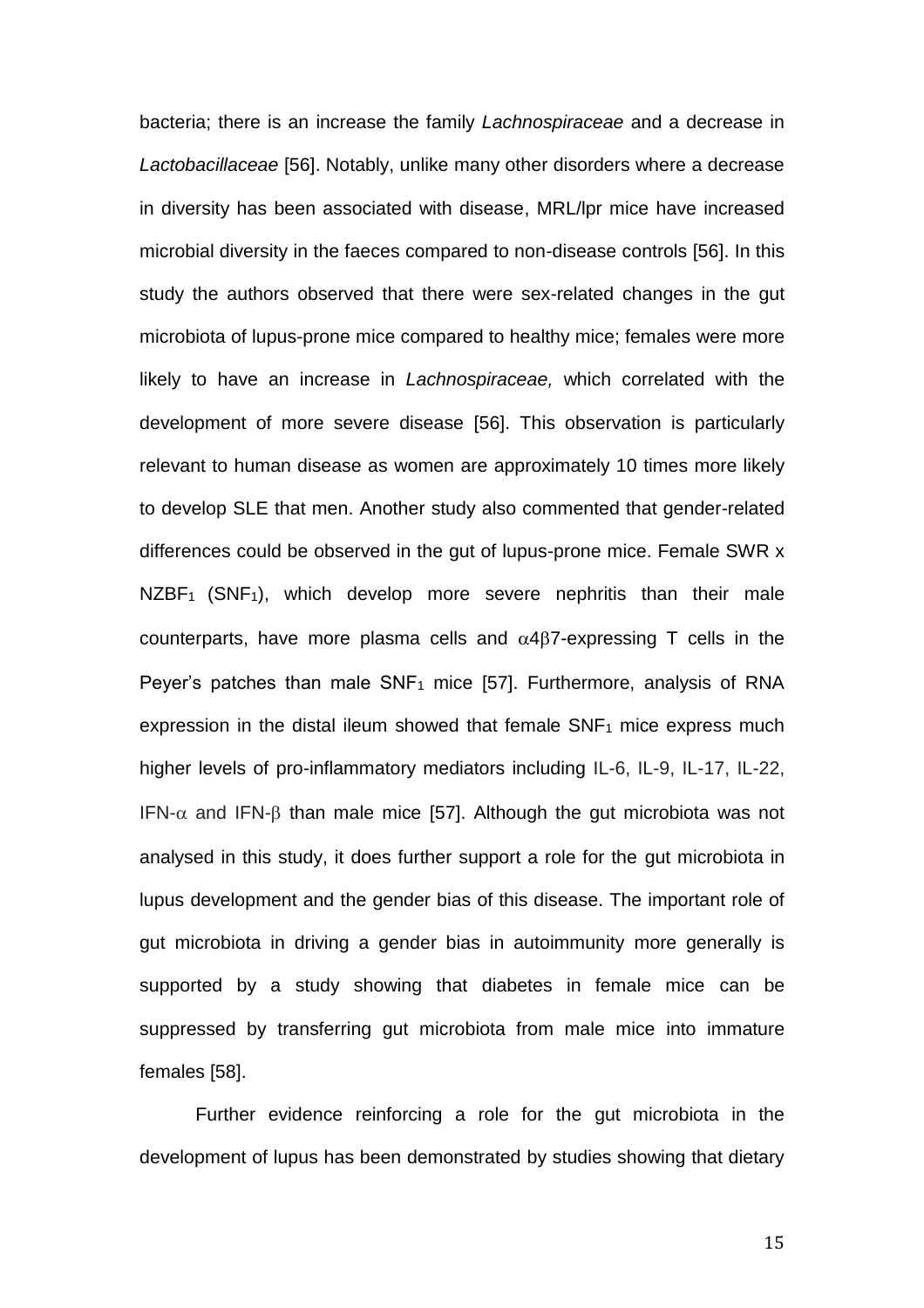bacteria; there is an increase the family *Lachnospiraceae* and a decrease in *Lactobacillaceae* [\[56\]](#page-30-0). Notably, unlike many other disorders where a decrease in diversity has been associated with disease, MRL/lpr mice have increased microbial diversity in the faeces compared to non-disease controls [\[56\]](#page-30-0). In this study the authors observed that there were sex-related changes in the gut microbiota of lupus-prone mice compared to healthy mice; females were more likely to have an increase in *Lachnospiraceae,* which correlated with the development of more severe disease [\[56\]](#page-30-0). This observation is particularly relevant to human disease as women are approximately 10 times more likely to develop SLE that men. Another study also commented that gender-related differences could be observed in the gut of lupus-prone mice. Female SWR x NZBF<sub>1</sub> (SNF<sub>1</sub>), which develop more severe nephritis than their male counterparts, have more plasma cells and  $\alpha$ 4 $\beta$ 7-expressing T cells in the Peyer's patches than male  $SNF_1$  mice [\[57\]](#page-30-1). Furthermore, analysis of RNA expression in the distal ileum showed that female SNF<sub>1</sub> mice express much higher levels of pro-inflammatory mediators including IL-6, IL-9, IL-17, IL-22, IFN- $\alpha$  and IFN- $\beta$  than male mice [\[57\]](#page-30-1). Although the gut microbiota was not analysed in this study, it does further support a role for the gut microbiota in lupus development and the gender bias of this disease. The important role of gut microbiota in driving a gender bias in autoimmunity more generally is supported by a study showing that diabetes in female mice can be suppressed by transferring gut microbiota from male mice into immature females [\[58\]](#page-30-2).

Further evidence reinforcing a role for the gut microbiota in the development of lupus has been demonstrated by studies showing that dietary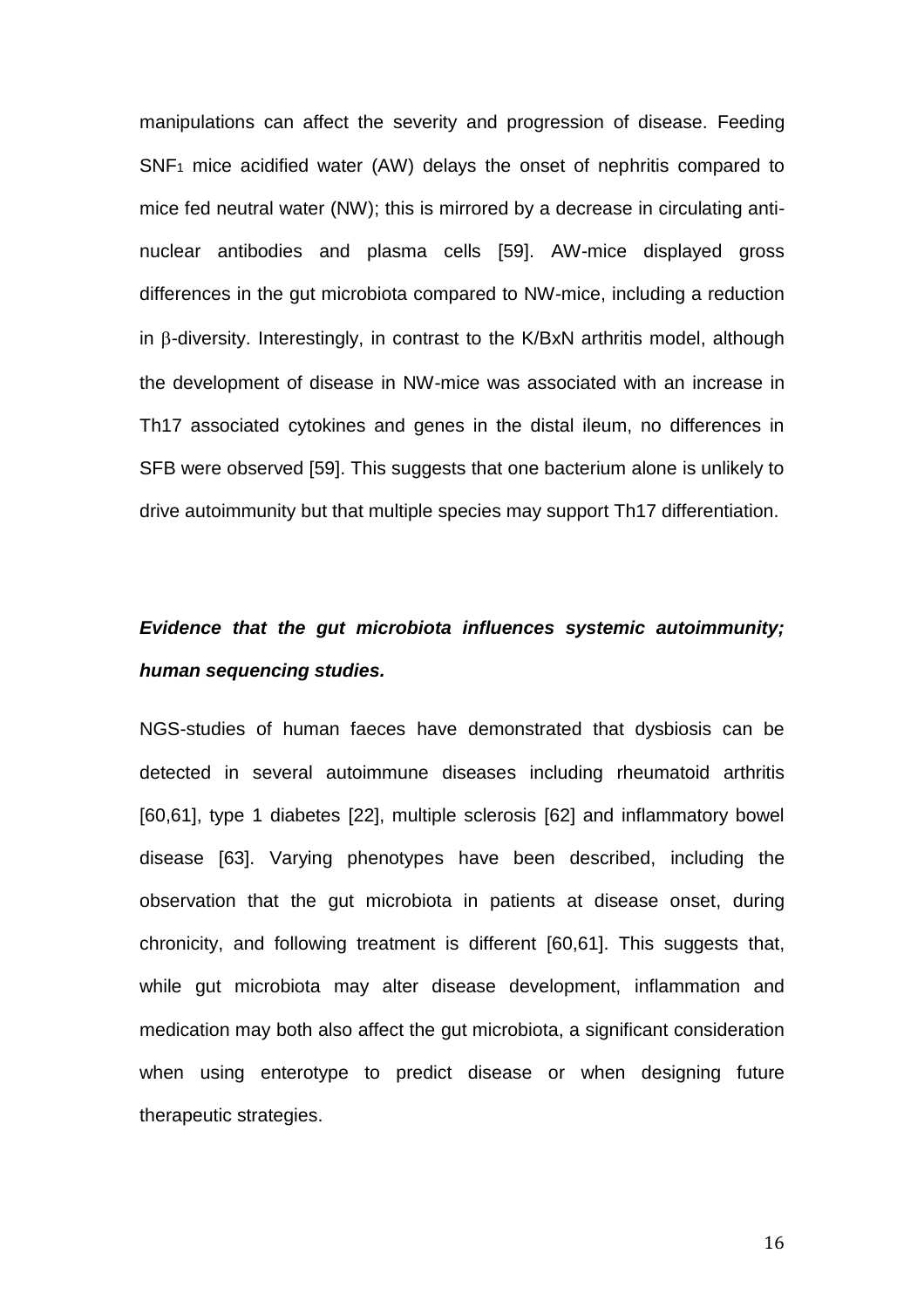manipulations can affect the severity and progression of disease. Feeding SNF<sup>1</sup> mice acidified water (AW) delays the onset of nephritis compared to mice fed neutral water (NW); this is mirrored by a decrease in circulating antinuclear antibodies and plasma cells [\[59\]](#page-30-3). AW-mice displayed gross differences in the gut microbiota compared to NW-mice, including a reduction in  $\beta$ -diversity. Interestingly, in contrast to the K/BxN arthritis model, although the development of disease in NW-mice was associated with an increase in Th17 associated cytokines and genes in the distal ileum, no differences in SFB were observed [\[59\]](#page-30-3). This suggests that one bacterium alone is unlikely to drive autoimmunity but that multiple species may support Th17 differentiation.

# *Evidence that the gut microbiota influences systemic autoimmunity; human sequencing studies.*

NGS-studies of human faeces have demonstrated that dysbiosis can be detected in several autoimmune diseases including rheumatoid arthritis [\[60,](#page-30-4)[61\]](#page-31-0), type 1 diabetes [\[22\]](#page-24-5), multiple sclerosis [\[62\]](#page-31-1) and inflammatory bowel disease [\[63\]](#page-31-2). Varying phenotypes have been described, including the observation that the gut microbiota in patients at disease onset, during chronicity, and following treatment is different [\[60,](#page-30-4)[61\]](#page-31-0). This suggests that, while gut microbiota may alter disease development, inflammation and medication may both also affect the gut microbiota, a significant consideration when using enterotype to predict disease or when designing future therapeutic strategies.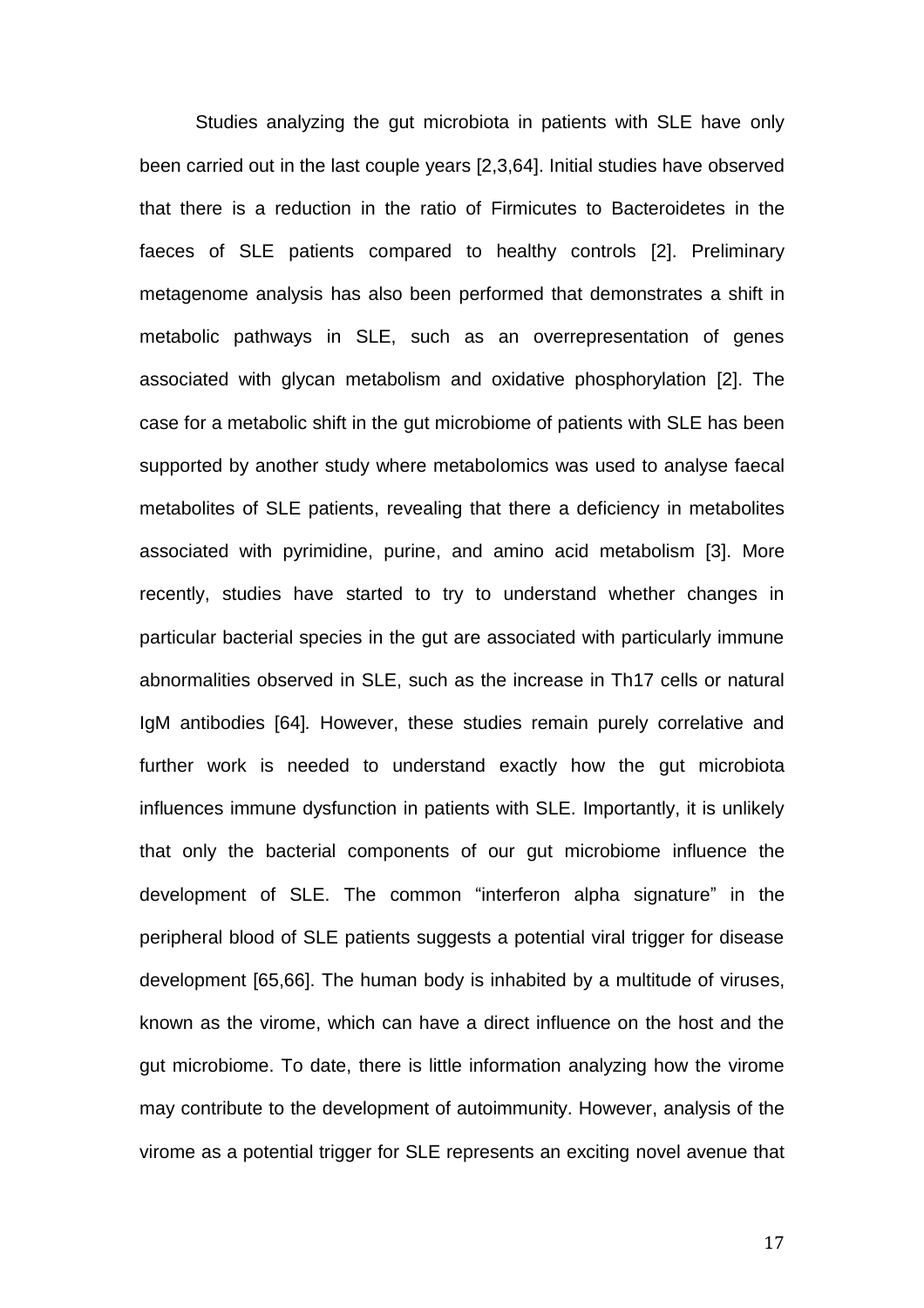Studies analyzing the gut microbiota in patients with SLE have only been carried out in the last couple years [\[2](#page-21-1)[,3](#page-21-2)[,64\]](#page-31-3). Initial studies have observed that there is a reduction in the ratio of Firmicutes to Bacteroidetes in the faeces of SLE patients compared to healthy controls [\[2\]](#page-21-1). Preliminary metagenome analysis has also been performed that demonstrates a shift in metabolic pathways in SLE, such as an overrepresentation of genes associated with glycan metabolism and oxidative phosphorylation [\[2\]](#page-21-1). The case for a metabolic shift in the gut microbiome of patients with SLE has been supported by another study where metabolomics was used to analyse faecal metabolites of SLE patients, revealing that there a deficiency in metabolites associated with pyrimidine, purine, and amino acid metabolism [\[3\]](#page-21-2). More recently, studies have started to try to understand whether changes in particular bacterial species in the gut are associated with particularly immune abnormalities observed in SLE, such as the increase in Th17 cells or natural IgM antibodies [\[64\]](#page-31-3)*.* However, these studies remain purely correlative and further work is needed to understand exactly how the gut microbiota influences immune dysfunction in patients with SLE. Importantly, it is unlikely that only the bacterial components of our gut microbiome influence the development of SLE. The common "interferon alpha signature" in the peripheral blood of SLE patients suggests a potential viral trigger for disease development [\[65,](#page-31-4)[66\]](#page-31-5). The human body is inhabited by a multitude of viruses, known as the virome, which can have a direct influence on the host and the gut microbiome. To date, there is little information analyzing how the virome may contribute to the development of autoimmunity. However, analysis of the virome as a potential trigger for SLE represents an exciting novel avenue that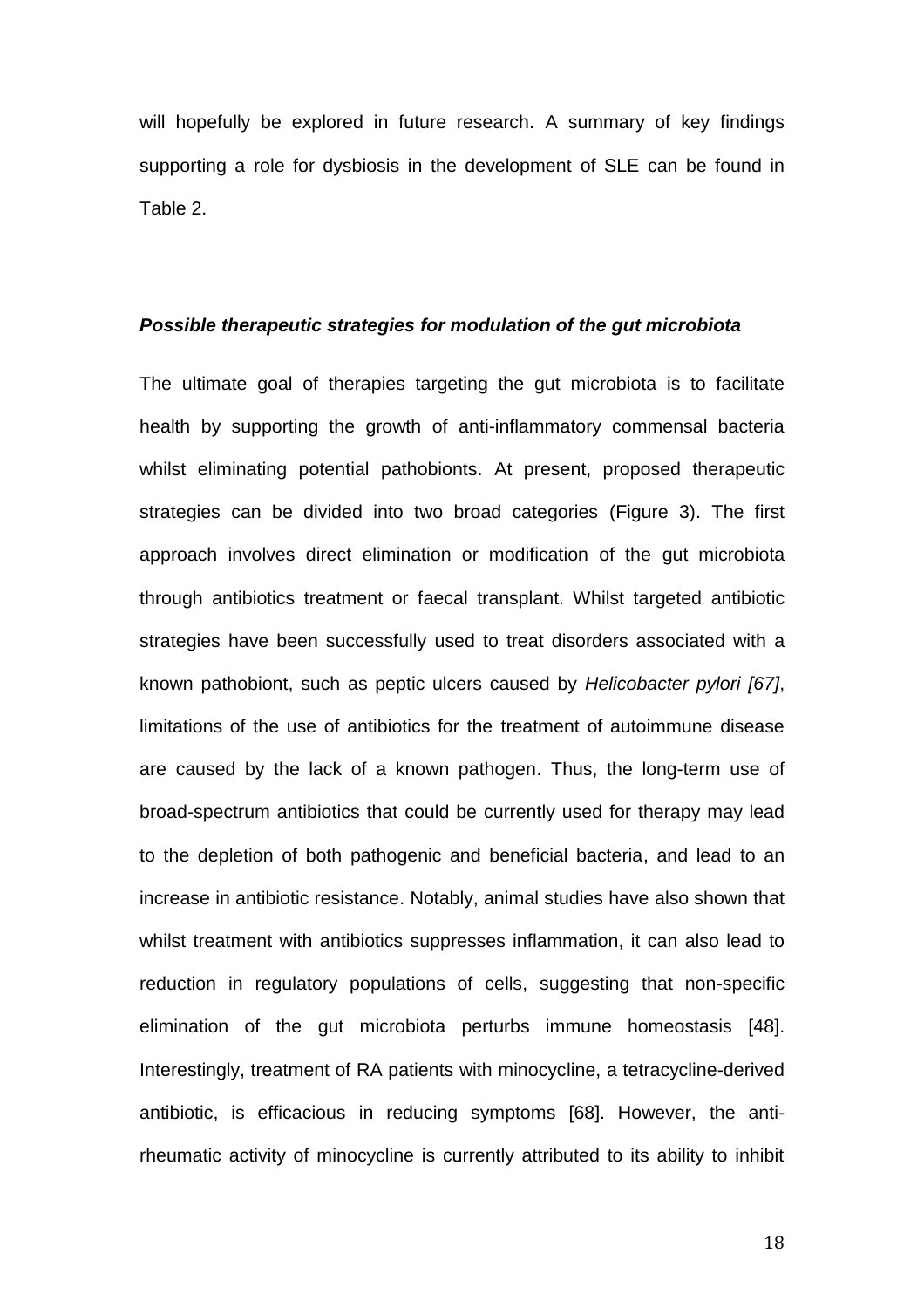will hopefully be explored in future research. A summary of key findings supporting a role for dysbiosis in the development of SLE can be found in Table 2.

## *Possible therapeutic strategies for modulation of the gut microbiota*

The ultimate goal of therapies targeting the gut microbiota is to facilitate health by supporting the growth of anti-inflammatory commensal bacteria whilst eliminating potential pathobionts. At present, proposed therapeutic strategies can be divided into two broad categories (Figure 3). The first approach involves direct elimination or modification of the gut microbiota through antibiotics treatment or faecal transplant. Whilst targeted antibiotic strategies have been successfully used to treat disorders associated with a known pathobiont, such as peptic ulcers caused by *Helicobacter pylori [\[67\]](#page-32-0)*, limitations of the use of antibiotics for the treatment of autoimmune disease are caused by the lack of a known pathogen. Thus, the long-term use of broad-spectrum antibiotics that could be currently used for therapy may lead to the depletion of both pathogenic and beneficial bacteria, and lead to an increase in antibiotic resistance. Notably, animal studies have also shown that whilst treatment with antibiotics suppresses inflammation, it can also lead to reduction in regulatory populations of cells, suggesting that non-specific elimination of the gut microbiota perturbs immune homeostasis [\[48\]](#page-29-0). Interestingly, treatment of RA patients with minocycline, a tetracycline-derived antibiotic, is efficacious in reducing symptoms [\[68\]](#page-32-1). However, the antirheumatic activity of minocycline is currently attributed to its ability to inhibit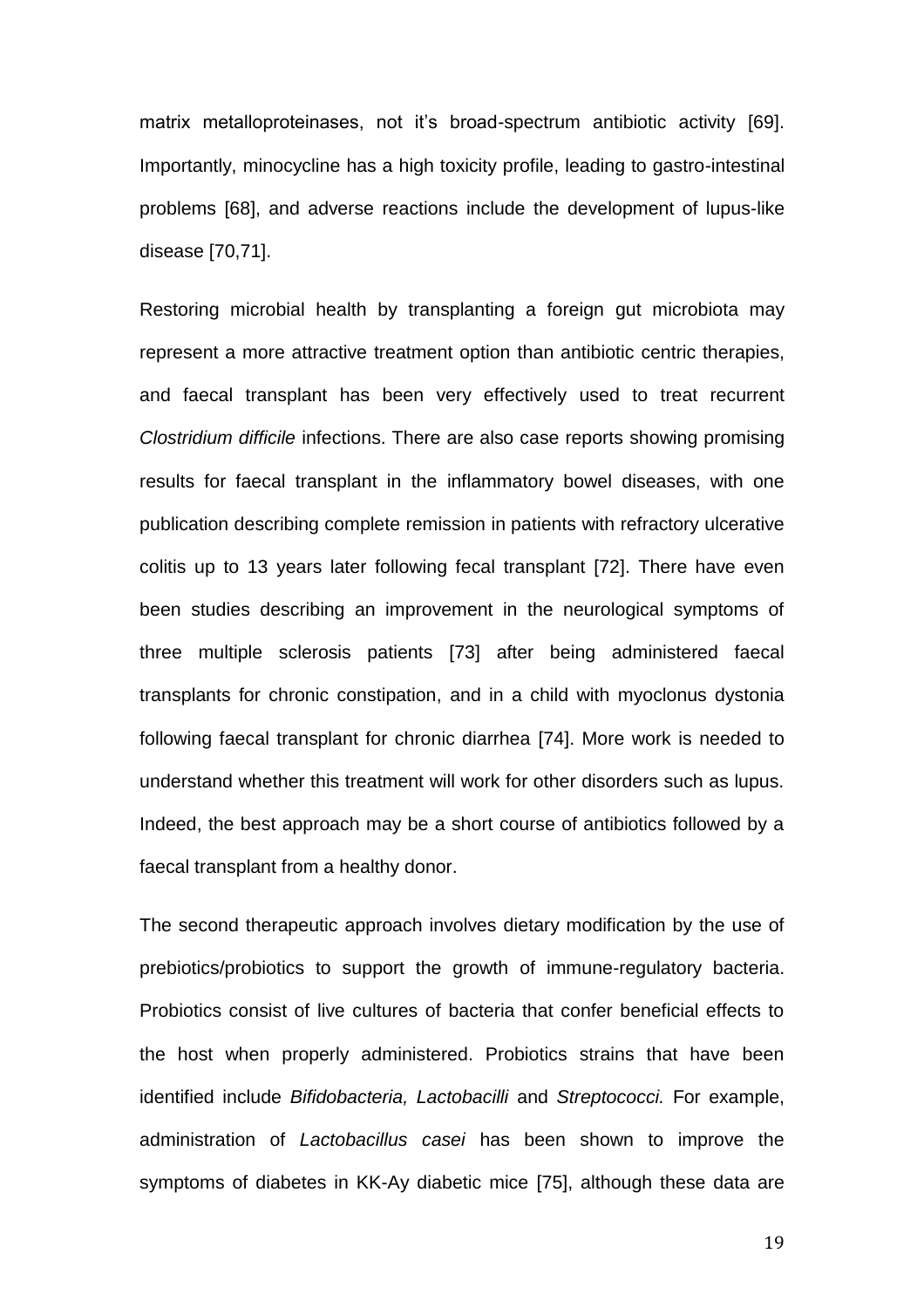matrix metalloproteinases, not it's broad-spectrum antibiotic activity [\[69\]](#page-32-2). Importantly, minocycline has a high toxicity profile, leading to gastro-intestinal problems [\[68\]](#page-32-1), and adverse reactions include the development of lupus-like disease [\[70](#page-32-3)[,71\]](#page-32-4).

Restoring microbial health by transplanting a foreign gut microbiota may represent a more attractive treatment option than antibiotic centric therapies, and faecal transplant has been very effectively used to treat recurrent *Clostridium difficile* infections. There are also case reports showing promising results for faecal transplant in the inflammatory bowel diseases, with one publication describing complete remission in patients with refractory ulcerative colitis up to 13 years later following fecal transplant [\[72\]](#page-32-5). There have even been studies describing an improvement in the neurological symptoms of three multiple sclerosis patients [\[73\]](#page-32-6) after being administered faecal transplants for chronic constipation, and in a child with myoclonus dystonia following faecal transplant for chronic diarrhea [\[74\]](#page-32-7). More work is needed to understand whether this treatment will work for other disorders such as lupus. Indeed, the best approach may be a short course of antibiotics followed by a faecal transplant from a healthy donor.

The second therapeutic approach involves dietary modification by the use of prebiotics/probiotics to support the growth of immune-regulatory bacteria. Probiotics consist of live cultures of bacteria that confer beneficial effects to the host when properly administered. Probiotics strains that have been identified include *Bifidobacteria, Lactobacilli* and *Streptococci.* For example, administration of *Lactobacillus casei* has been shown to improve the symptoms of diabetes in KK-Ay diabetic mice [\[75\]](#page-32-8), although these data are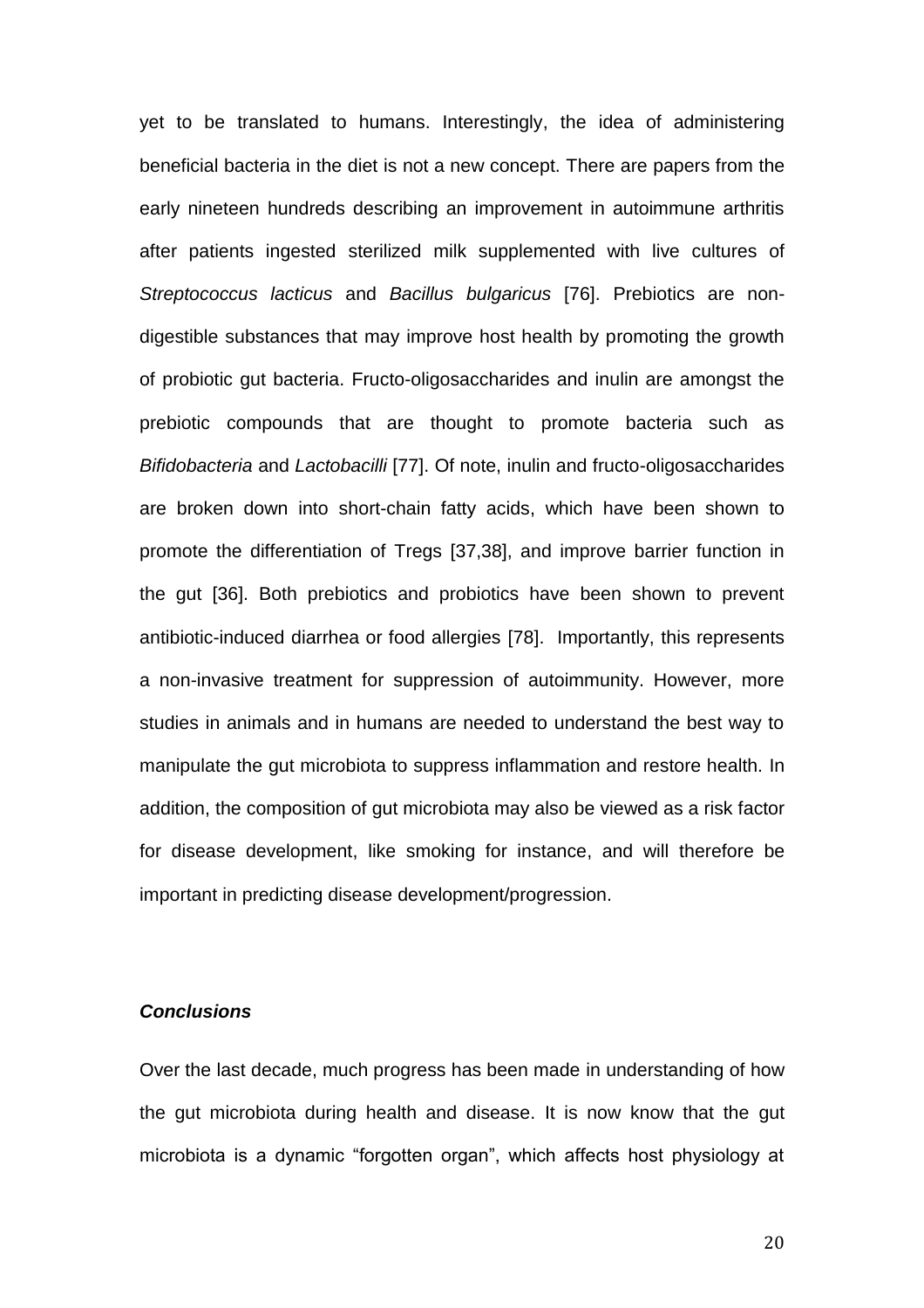yet to be translated to humans. Interestingly, the idea of administering beneficial bacteria in the diet is not a new concept. There are papers from the early nineteen hundreds describing an improvement in autoimmune arthritis after patients ingested sterilized milk supplemented with live cultures of *Streptococcus lacticus* and *Bacillus bulgaricus* [\[76\]](#page-33-0). Prebiotics are nondigestible substances that may improve host health by promoting the growth of probiotic gut bacteria. Fructo-oligosaccharides and inulin are amongst the prebiotic compounds that are thought to promote bacteria such as *Bifidobacteria* and *Lactobacilli* [\[77\]](#page-33-1). Of note, inulin and fructo-oligosaccharides are broken down into short-chain fatty acids, which have been shown to promote the differentiation of Tregs [\[37,](#page-27-2)[38\]](#page-27-3), and improve barrier function in the gut [\[36\]](#page-27-1). Both prebiotics and probiotics have been shown to prevent antibiotic-induced diarrhea or food allergies [\[78\]](#page-33-2). Importantly, this represents a non-invasive treatment for suppression of autoimmunity. However, more studies in animals and in humans are needed to understand the best way to manipulate the gut microbiota to suppress inflammation and restore health. In addition, the composition of gut microbiota may also be viewed as a risk factor for disease development, like smoking for instance, and will therefore be important in predicting disease development/progression.

## *Conclusions*

Over the last decade, much progress has been made in understanding of how the gut microbiota during health and disease. It is now know that the gut microbiota is a dynamic "forgotten organ", which affects host physiology at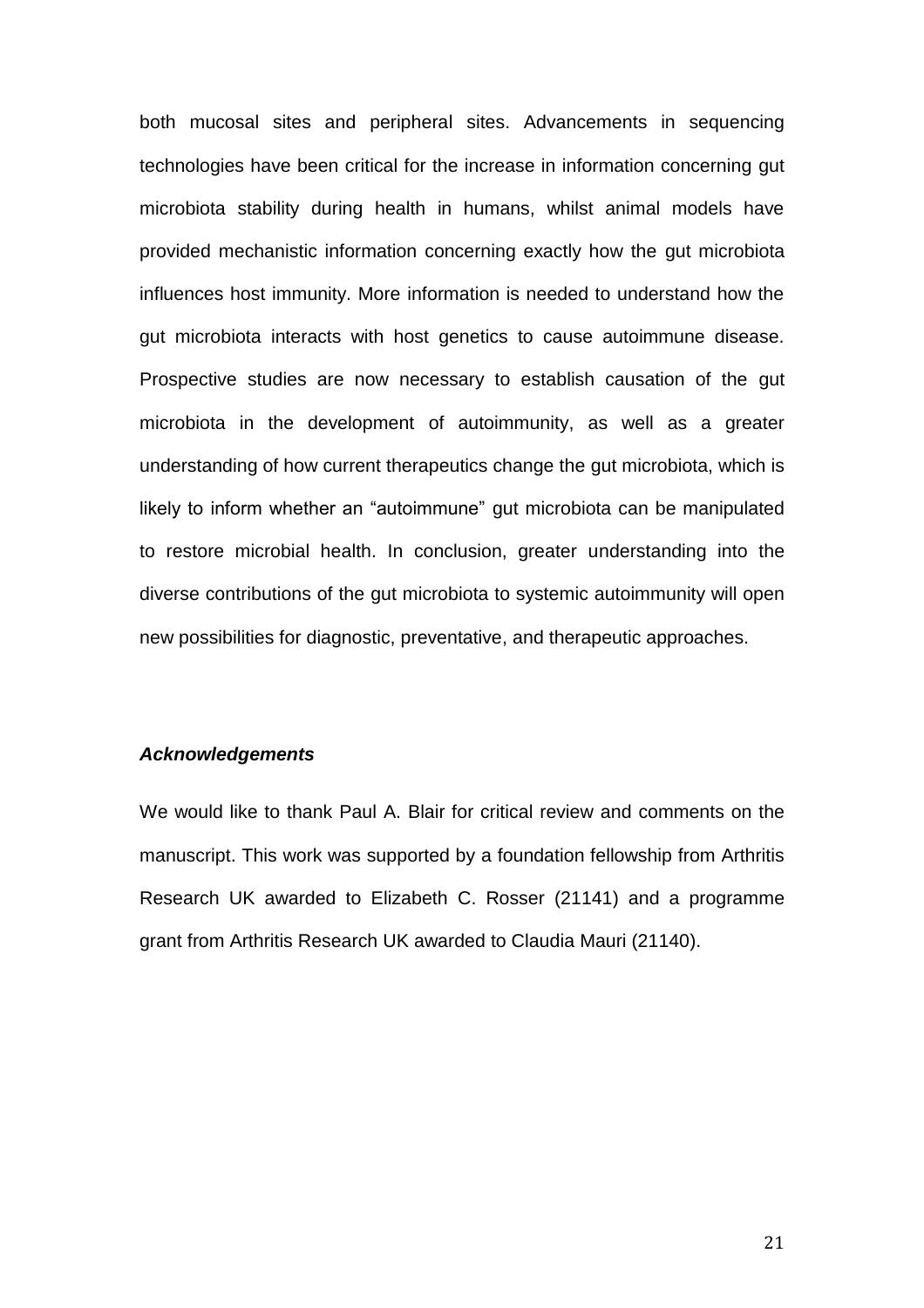both mucosal sites and peripheral sites. Advancements in sequencing technologies have been critical for the increase in information concerning gut microbiota stability during health in humans, whilst animal models have provided mechanistic information concerning exactly how the gut microbiota influences host immunity. More information is needed to understand how the gut microbiota interacts with host genetics to cause autoimmune disease. Prospective studies are now necessary to establish causation of the gut microbiota in the development of autoimmunity, as well as a greater understanding of how current therapeutics change the gut microbiota, which is likely to inform whether an "autoimmune" gut microbiota can be manipulated to restore microbial health. In conclusion, greater understanding into the diverse contributions of the gut microbiota to systemic autoimmunity will open new possibilities for diagnostic, preventative, and therapeutic approaches.

#### *Acknowledgements*

We would like to thank Paul A. Blair for critical review and comments on the manuscript. This work was supported by a foundation fellowship from Arthritis Research UK awarded to Elizabeth C. Rosser (21141) and a programme grant from Arthritis Research UK awarded to Claudia Mauri (21140).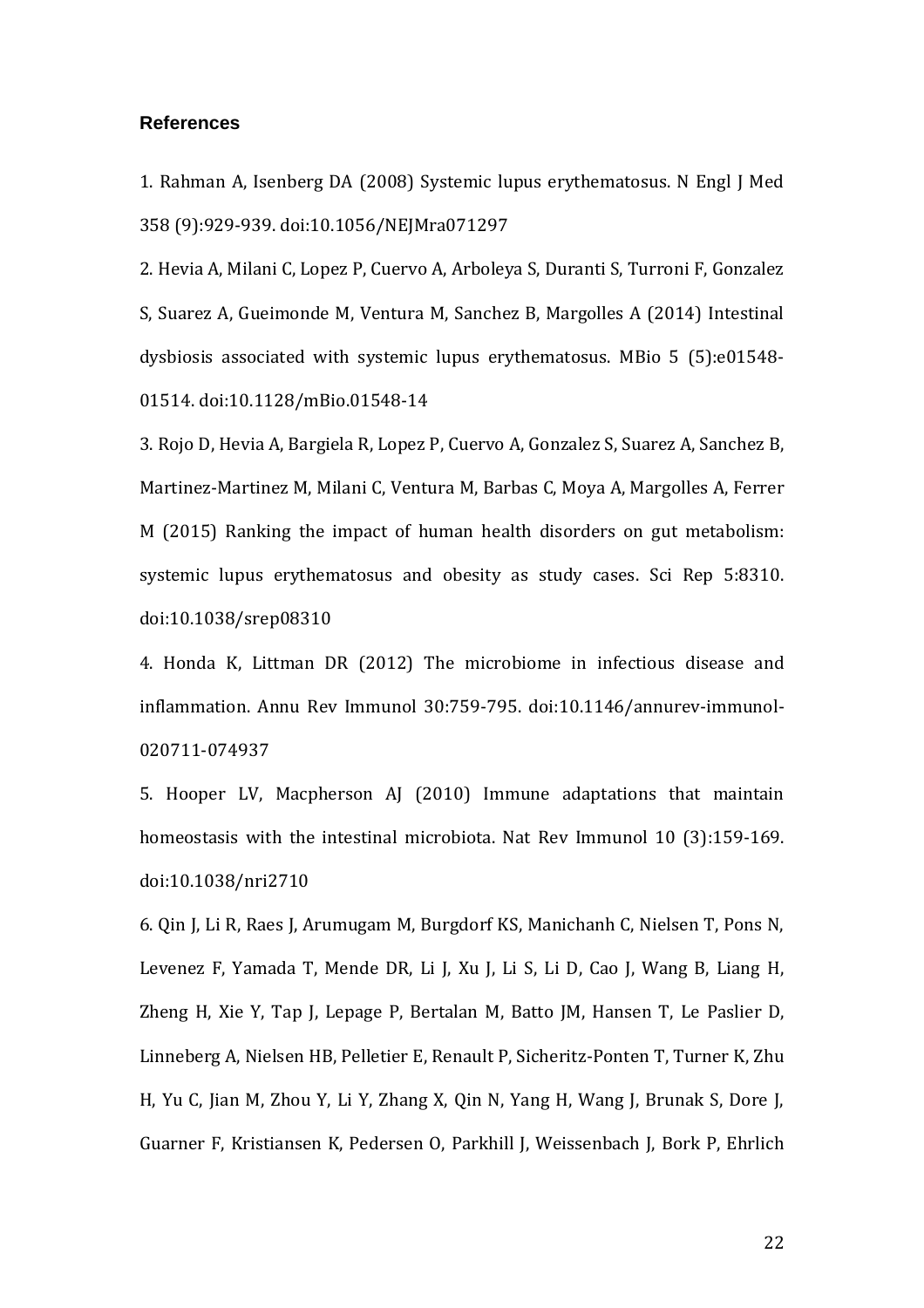#### **References**

<span id="page-21-0"></span>1. Rahman A, Isenberg DA (2008) Systemic lupus erythematosus. N Engl J Med 358 (9):929-939. doi:10.1056/NEJMra071297

<span id="page-21-1"></span>2. Hevia A, Milani C, Lopez P, Cuervo A, Arboleya S, Duranti S, Turroni F, Gonzalez S, Suarez A, Gueimonde M, Ventura M, Sanchez B, Margolles A (2014) Intestinal dysbiosis associated with systemic lupus erythematosus. MBio 5 (5):e01548- 01514. doi:10.1128/mBio.01548-14

<span id="page-21-2"></span>3. Rojo D, Hevia A, Bargiela R, Lopez P, Cuervo A, Gonzalez S, Suarez A, Sanchez B, Martinez-Martinez M, Milani C, Ventura M, Barbas C, Moya A, Margolles A, Ferrer M (2015) Ranking the impact of human health disorders on gut metabolism: systemic lupus erythematosus and obesity as study cases. Sci Rep 5:8310. doi:10.1038/srep08310

<span id="page-21-3"></span>4. Honda K, Littman DR (2012) The microbiome in infectious disease and inflammation. Annu Rev Immunol 30:759-795. doi:10.1146/annurev-immunol-020711-074937

<span id="page-21-4"></span>5. Hooper LV, Macpherson AJ (2010) Immune adaptations that maintain homeostasis with the intestinal microbiota. Nat Rev Immunol 10 (3):159-169. doi:10.1038/nri2710

<span id="page-21-5"></span>6. Qin J, Li R, Raes J, Arumugam M, Burgdorf KS, Manichanh C, Nielsen T, Pons N, Levenez F, Yamada T, Mende DR, Li J, Xu J, Li S, Li D, Cao J, Wang B, Liang H, Zheng H, Xie Y, Tap J, Lepage P, Bertalan M, Batto JM, Hansen T, Le Paslier D, Linneberg A, Nielsen HB, Pelletier E, Renault P, Sicheritz-Ponten T, Turner K, Zhu H, Yu C, Jian M, Zhou Y, Li Y, Zhang X, Qin N, Yang H, Wang J, Brunak S, Dore J, Guarner F, Kristiansen K, Pedersen O, Parkhill J, Weissenbach J, Bork P, Ehrlich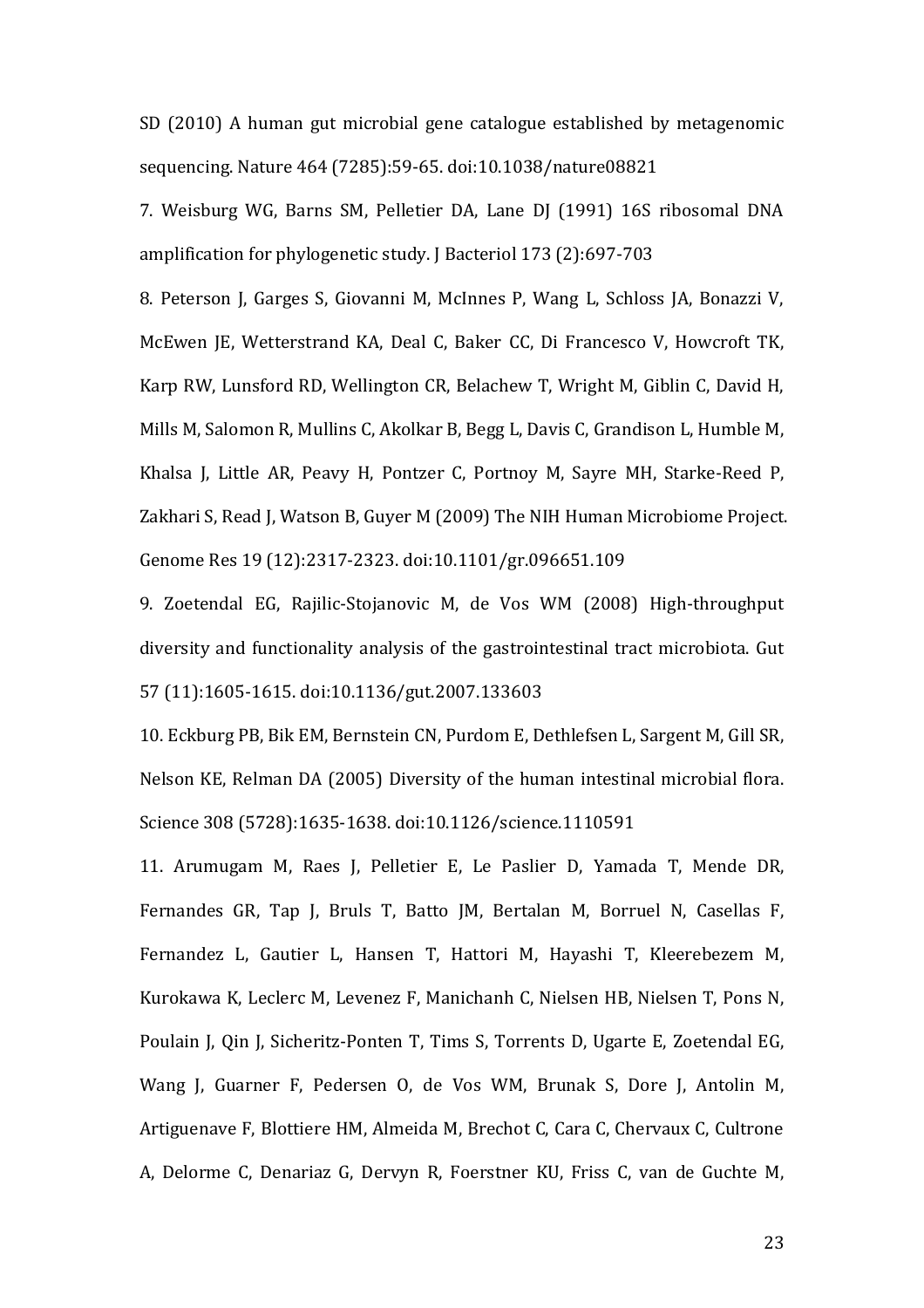SD (2010) A human gut microbial gene catalogue established by metagenomic sequencing. Nature 464 (7285):59-65. doi:10.1038/nature08821

<span id="page-22-0"></span>7. Weisburg WG, Barns SM, Pelletier DA, Lane DJ (1991) 16S ribosomal DNA amplification for phylogenetic study. J Bacteriol 173 (2):697-703

<span id="page-22-1"></span>8. Peterson J, Garges S, Giovanni M, McInnes P, Wang L, Schloss JA, Bonazzi V, McEwen JE, Wetterstrand KA, Deal C, Baker CC, Di Francesco V, Howcroft TK, Karp RW, Lunsford RD, Wellington CR, Belachew T, Wright M, Giblin C, David H, Mills M, Salomon R, Mullins C, Akolkar B, Begg L, Davis C, Grandison L, Humble M, Khalsa J, Little AR, Peavy H, Pontzer C, Portnoy M, Sayre MH, Starke-Reed P, Zakhari S, Read J, Watson B, Guyer M (2009) The NIH Human Microbiome Project. Genome Res 19 (12):2317-2323. doi:10.1101/gr.096651.109

<span id="page-22-2"></span>9. Zoetendal EG, Rajilic-Stojanovic M, de Vos WM (2008) High-throughput diversity and functionality analysis of the gastrointestinal tract microbiota. Gut 57 (11):1605-1615. doi:10.1136/gut.2007.133603

<span id="page-22-3"></span>10. Eckburg PB, Bik EM, Bernstein CN, Purdom E, Dethlefsen L, Sargent M, Gill SR, Nelson KE, Relman DA (2005) Diversity of the human intestinal microbial flora. Science 308 (5728):1635-1638. doi:10.1126/science.1110591

<span id="page-22-4"></span>11. Arumugam M, Raes J, Pelletier E, Le Paslier D, Yamada T, Mende DR, Fernandes GR, Tap J, Bruls T, Batto JM, Bertalan M, Borruel N, Casellas F, Fernandez L, Gautier L, Hansen T, Hattori M, Hayashi T, Kleerebezem M, Kurokawa K, Leclerc M, Levenez F, Manichanh C, Nielsen HB, Nielsen T, Pons N, Poulain J, Qin J, Sicheritz-Ponten T, Tims S, Torrents D, Ugarte E, Zoetendal EG, Wang J, Guarner F, Pedersen O, de Vos WM, Brunak S, Dore J, Antolin M, Artiguenave F, Blottiere HM, Almeida M, Brechot C, Cara C, Chervaux C, Cultrone A, Delorme C, Denariaz G, Dervyn R, Foerstner KU, Friss C, van de Guchte M,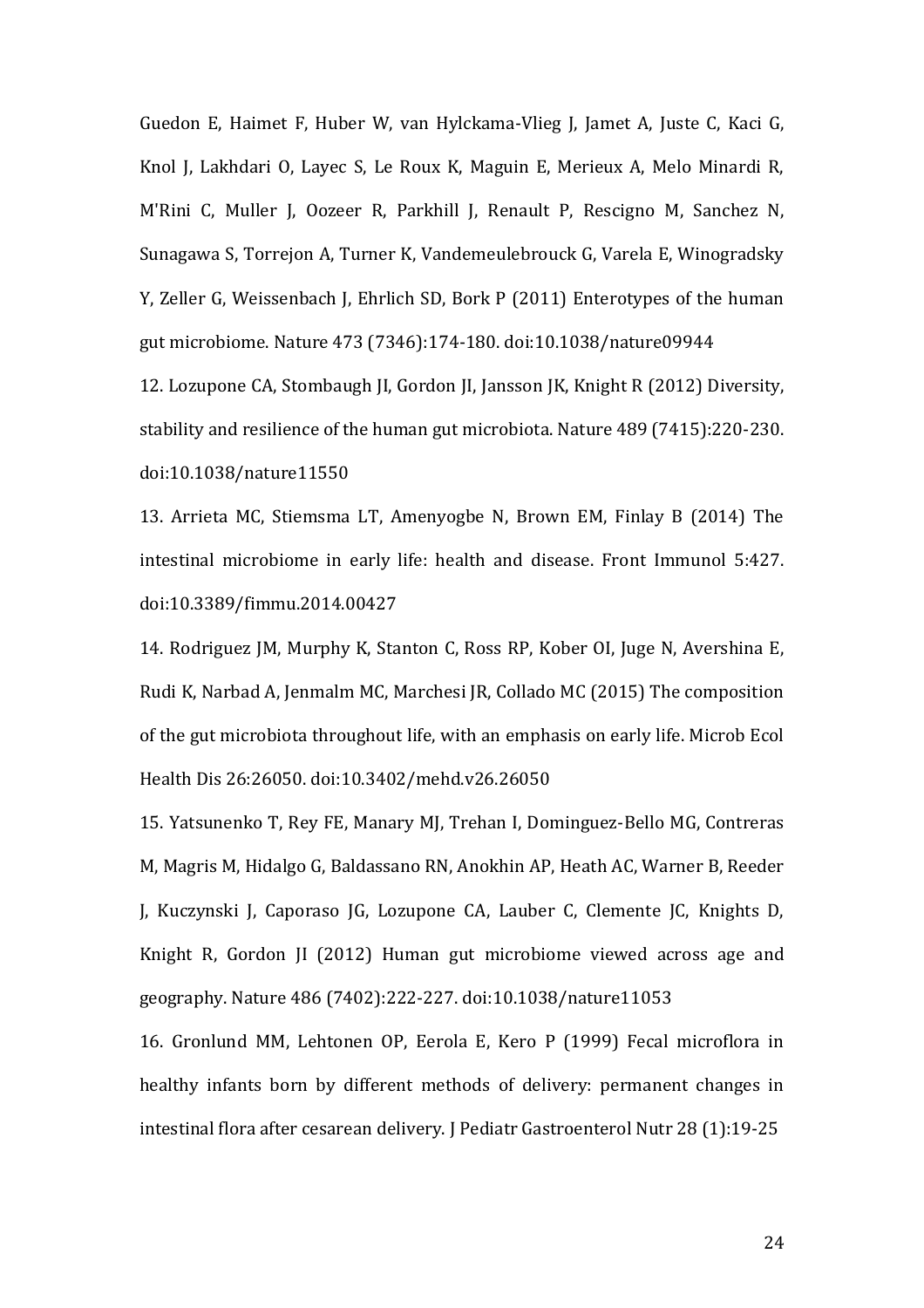Guedon E, Haimet F, Huber W, van Hylckama-Vlieg J, Jamet A, Juste C, Kaci G, Knol J, Lakhdari O, Layec S, Le Roux K, Maguin E, Merieux A, Melo Minardi R, M'Rini C, Muller J, Oozeer R, Parkhill J, Renault P, Rescigno M, Sanchez N, Sunagawa S, Torrejon A, Turner K, Vandemeulebrouck G, Varela E, Winogradsky Y, Zeller G, Weissenbach J, Ehrlich SD, Bork P (2011) Enterotypes of the human gut microbiome. Nature 473 (7346):174-180. doi:10.1038/nature09944

<span id="page-23-0"></span>12. Lozupone CA, Stombaugh JI, Gordon JI, Jansson JK, Knight R (2012) Diversity, stability and resilience of the human gut microbiota. Nature 489 (7415):220-230. doi:10.1038/nature11550

<span id="page-23-1"></span>13. Arrieta MC, Stiemsma LT, Amenyogbe N, Brown EM, Finlay B (2014) The intestinal microbiome in early life: health and disease. Front Immunol 5:427. doi:10.3389/fimmu.2014.00427

<span id="page-23-2"></span>14. Rodriguez JM, Murphy K, Stanton C, Ross RP, Kober OI, Juge N, Avershina E, Rudi K, Narbad A, Jenmalm MC, Marchesi JR, Collado MC (2015) The composition of the gut microbiota throughout life, with an emphasis on early life. Microb Ecol Health Dis 26:26050. doi:10.3402/mehd.v26.26050

<span id="page-23-3"></span>15. Yatsunenko T, Rey FE, Manary MJ, Trehan I, Dominguez-Bello MG, Contreras M, Magris M, Hidalgo G, Baldassano RN, Anokhin AP, Heath AC, Warner B, Reeder J, Kuczynski J, Caporaso JG, Lozupone CA, Lauber C, Clemente JC, Knights D, Knight R, Gordon JI (2012) Human gut microbiome viewed across age and geography. Nature 486 (7402):222-227. doi:10.1038/nature11053

<span id="page-23-4"></span>16. Gronlund MM, Lehtonen OP, Eerola E, Kero P (1999) Fecal microflora in healthy infants born by different methods of delivery: permanent changes in intestinal flora after cesarean delivery. J Pediatr Gastroenterol Nutr 28 (1):19-25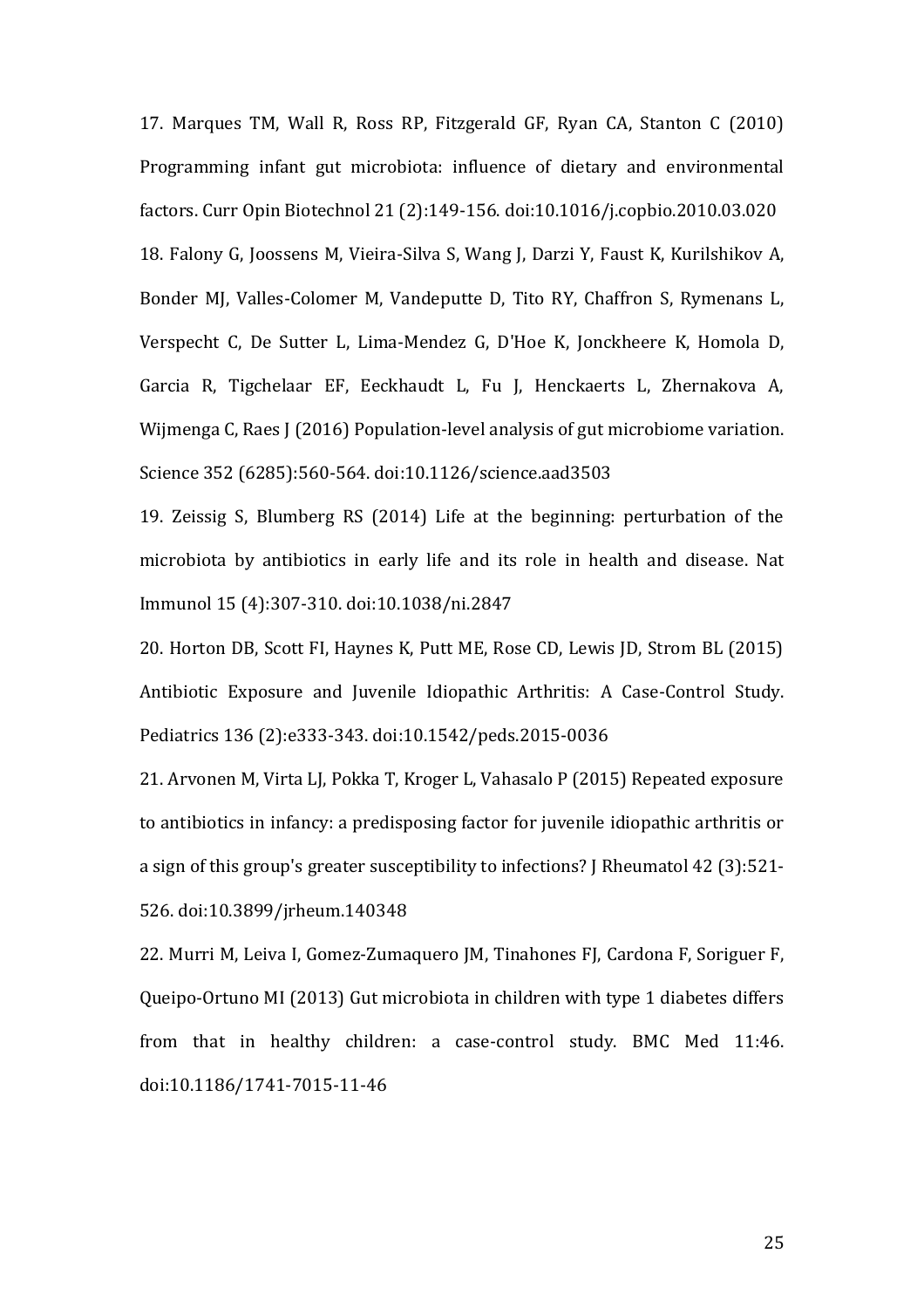<span id="page-24-1"></span><span id="page-24-0"></span>17. Marques TM, Wall R, Ross RP, Fitzgerald GF, Ryan CA, Stanton C (2010) Programming infant gut microbiota: influence of dietary and environmental factors. Curr Opin Biotechnol 21 (2):149-156. doi:10.1016/j.copbio.2010.03.020 18. Falony G, Joossens M, Vieira-Silva S, Wang J, Darzi Y, Faust K, Kurilshikov A, Bonder MJ, Valles-Colomer M, Vandeputte D, Tito RY, Chaffron S, Rymenans L, Verspecht C, De Sutter L, Lima-Mendez G, D'Hoe K, Jonckheere K, Homola D, Garcia R, Tigchelaar EF, Eeckhaudt L, Fu J, Henckaerts L, Zhernakova A, Wijmenga C, Raes J (2016) Population-level analysis of gut microbiome variation. Science 352 (6285):560-564. doi:10.1126/science.aad3503

<span id="page-24-2"></span>19. Zeissig S, Blumberg RS (2014) Life at the beginning: perturbation of the microbiota by antibiotics in early life and its role in health and disease. Nat Immunol 15 (4):307-310. doi:10.1038/ni.2847

<span id="page-24-3"></span>20. Horton DB, Scott FI, Haynes K, Putt ME, Rose CD, Lewis JD, Strom BL (2015) Antibiotic Exposure and Juvenile Idiopathic Arthritis: A Case-Control Study. Pediatrics 136 (2):e333-343. doi:10.1542/peds.2015-0036

<span id="page-24-4"></span>21. Arvonen M, Virta LJ, Pokka T, Kroger L, Vahasalo P (2015) Repeated exposure to antibiotics in infancy: a predisposing factor for juvenile idiopathic arthritis or a sign of this group's greater susceptibility to infections? J Rheumatol 42 (3):521- 526. doi:10.3899/jrheum.140348

<span id="page-24-5"></span>22. Murri M, Leiva I, Gomez-Zumaquero JM, Tinahones FJ, Cardona F, Soriguer F, Queipo-Ortuno MI (2013) Gut microbiota in children with type 1 diabetes differs from that in healthy children: a case-control study. BMC Med 11:46. doi:10.1186/1741-7015-11-46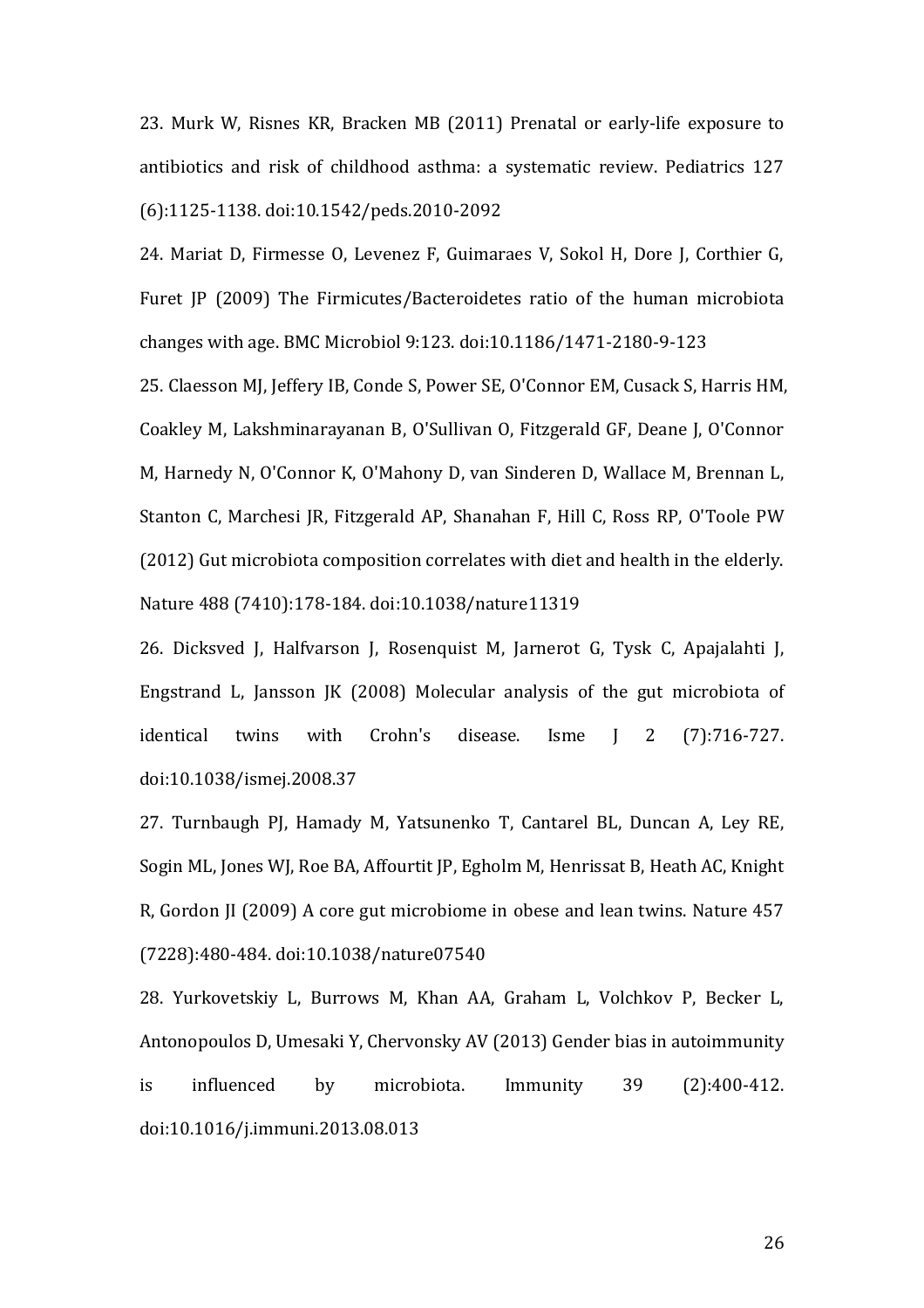<span id="page-25-0"></span>23. Murk W, Risnes KR, Bracken MB (2011) Prenatal or early-life exposure to antibiotics and risk of childhood asthma: a systematic review. Pediatrics 127 (6):1125-1138. doi:10.1542/peds.2010-2092

<span id="page-25-1"></span>24. Mariat D, Firmesse O, Levenez F, Guimaraes V, Sokol H, Dore J, Corthier G, Furet JP (2009) The Firmicutes/Bacteroidetes ratio of the human microbiota changes with age. BMC Microbiol 9:123. doi:10.1186/1471-2180-9-123

<span id="page-25-2"></span>25. Claesson MJ, Jeffery IB, Conde S, Power SE, O'Connor EM, Cusack S, Harris HM, Coakley M, Lakshminarayanan B, O'Sullivan O, Fitzgerald GF, Deane J, O'Connor M, Harnedy N, O'Connor K, O'Mahony D, van Sinderen D, Wallace M, Brennan L, Stanton C, Marchesi JR, Fitzgerald AP, Shanahan F, Hill C, Ross RP, O'Toole PW (2012) Gut microbiota composition correlates with diet and health in the elderly. Nature 488 (7410):178-184. doi:10.1038/nature11319

<span id="page-25-3"></span>26. Dicksved J, Halfvarson J, Rosenquist M, Jarnerot G, Tysk C, Apajalahti J, Engstrand L, Jansson JK (2008) Molecular analysis of the gut microbiota of identical twins with Crohn's disease. Isme J 2 (7):716-727. doi:10.1038/ismej.2008.37

<span id="page-25-4"></span>27. Turnbaugh PJ, Hamady M, Yatsunenko T, Cantarel BL, Duncan A, Ley RE, Sogin ML, Jones WJ, Roe BA, Affourtit JP, Egholm M, Henrissat B, Heath AC, Knight R, Gordon JI (2009) A core gut microbiome in obese and lean twins. Nature 457 (7228):480-484. doi:10.1038/nature07540

<span id="page-25-5"></span>28. Yurkovetskiy L, Burrows M, Khan AA, Graham L, Volchkov P, Becker L, Antonopoulos D, Umesaki Y, Chervonsky AV (2013) Gender bias in autoimmunity is influenced by microbiota. Immunity 39 (2):400-412. doi:10.1016/j.immuni.2013.08.013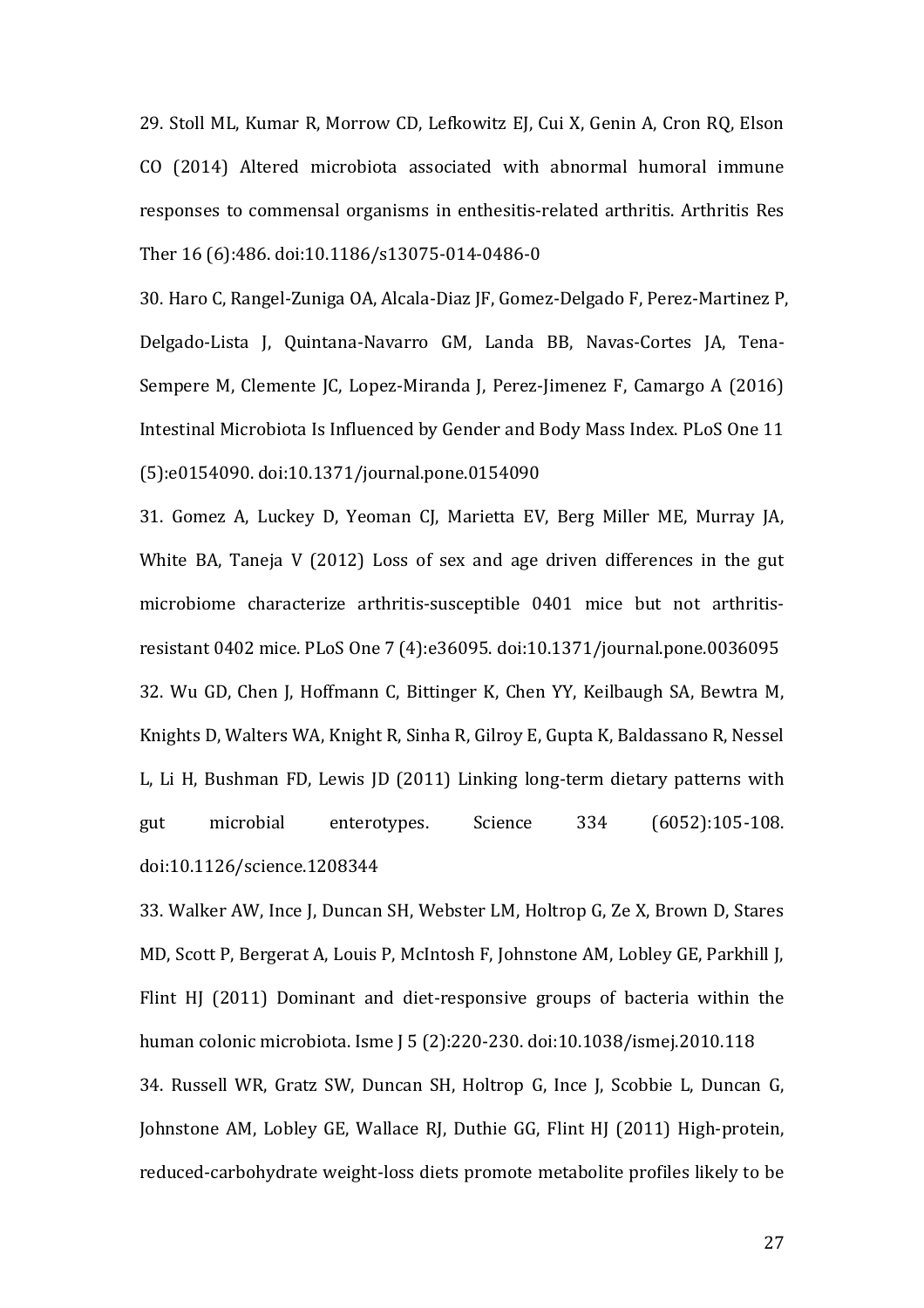<span id="page-26-0"></span>29. Stoll ML, Kumar R, Morrow CD, Lefkowitz EJ, Cui X, Genin A, Cron RQ, Elson CO (2014) Altered microbiota associated with abnormal humoral immune responses to commensal organisms in enthesitis-related arthritis. Arthritis Res Ther 16 (6):486. doi:10.1186/s13075-014-0486-0

<span id="page-26-1"></span>30. Haro C, Rangel-Zuniga OA, Alcala-Diaz JF, Gomez-Delgado F, Perez-Martinez P, Delgado-Lista J, Quintana-Navarro GM, Landa BB, Navas-Cortes JA, Tena-Sempere M, Clemente JC, Lopez-Miranda J, Perez-Jimenez F, Camargo A (2016) Intestinal Microbiota Is Influenced by Gender and Body Mass Index. PLoS One 11 (5):e0154090. doi:10.1371/journal.pone.0154090

<span id="page-26-3"></span><span id="page-26-2"></span>31. Gomez A, Luckey D, Yeoman CJ, Marietta EV, Berg Miller ME, Murray JA, White BA, Taneja V (2012) Loss of sex and age driven differences in the gut microbiome characterize arthritis-susceptible 0401 mice but not arthritisresistant 0402 mice. PLoS One 7 (4):e36095. doi:10.1371/journal.pone.0036095 32. Wu GD, Chen J, Hoffmann C, Bittinger K, Chen YY, Keilbaugh SA, Bewtra M, Knights D, Walters WA, Knight R, Sinha R, Gilroy E, Gupta K, Baldassano R, Nessel L, Li H, Bushman FD, Lewis JD (2011) Linking long-term dietary patterns with gut microbial enterotypes. Science 334 (6052):105-108. doi:10.1126/science.1208344

<span id="page-26-5"></span><span id="page-26-4"></span>33. Walker AW, Ince J, Duncan SH, Webster LM, Holtrop G, Ze X, Brown D, Stares MD, Scott P, Bergerat A, Louis P, McIntosh F, Johnstone AM, Lobley GE, Parkhill J, Flint HJ (2011) Dominant and diet-responsive groups of bacteria within the human colonic microbiota. Isme J 5 (2):220-230. doi:10.1038/ismej.2010.118 34. Russell WR, Gratz SW, Duncan SH, Holtrop G, Ince J, Scobbie L, Duncan G, Johnstone AM, Lobley GE, Wallace RJ, Duthie GG, Flint HJ (2011) High-protein, reduced-carbohydrate weight-loss diets promote metabolite profiles likely to be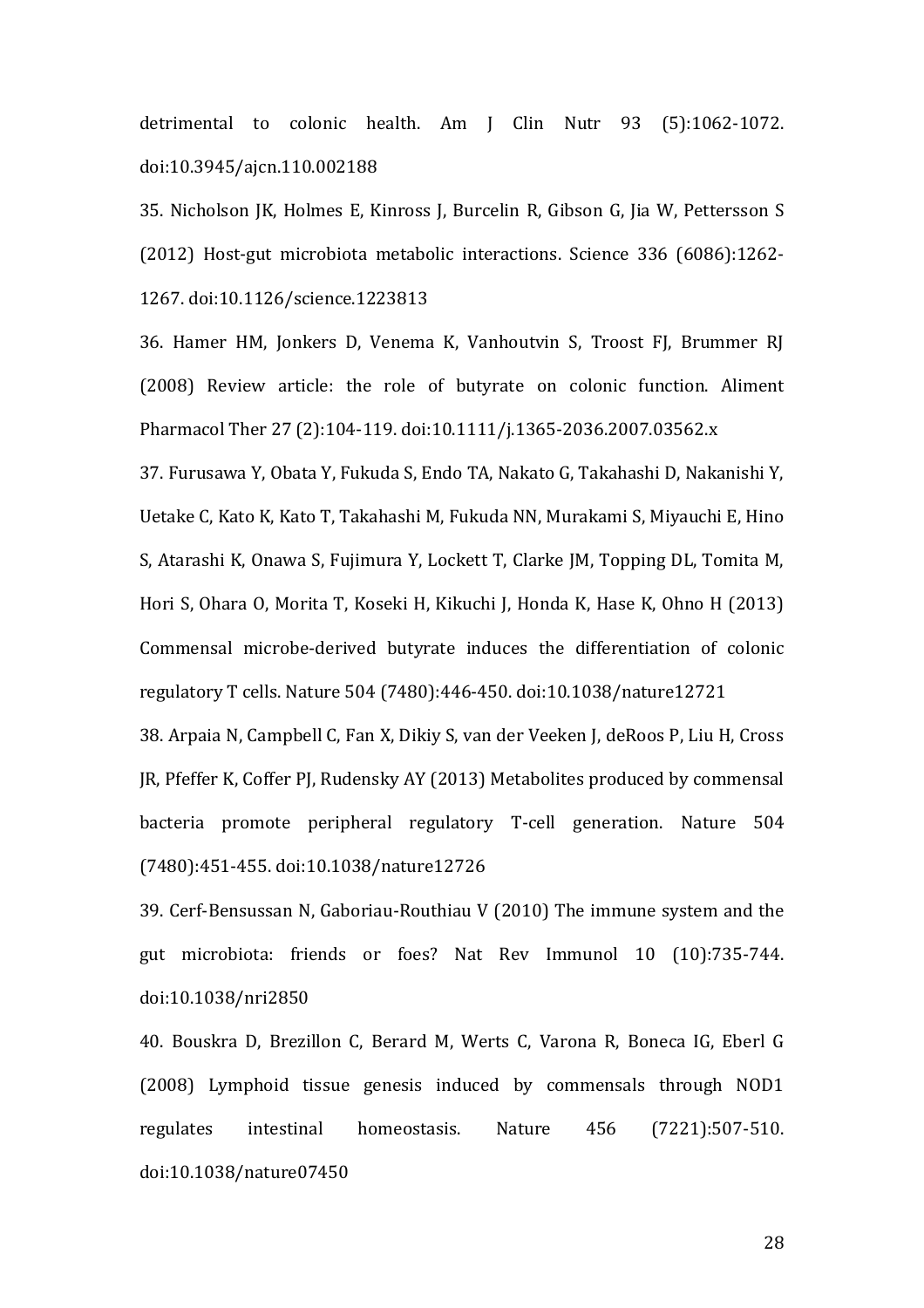detrimental to colonic health. Am J Clin Nutr 93 (5):1062-1072. doi:10.3945/ajcn.110.002188

<span id="page-27-0"></span>35. Nicholson JK, Holmes E, Kinross J, Burcelin R, Gibson G, Jia W, Pettersson S (2012) Host-gut microbiota metabolic interactions. Science 336 (6086):1262- 1267. doi:10.1126/science.1223813

<span id="page-27-1"></span>36. Hamer HM, Jonkers D, Venema K, Vanhoutvin S, Troost FJ, Brummer RJ (2008) Review article: the role of butyrate on colonic function. Aliment Pharmacol Ther 27 (2):104-119. doi:10.1111/j.1365-2036.2007.03562.x

<span id="page-27-2"></span>37. Furusawa Y, Obata Y, Fukuda S, Endo TA, Nakato G, Takahashi D, Nakanishi Y, Uetake C, Kato K, Kato T, Takahashi M, Fukuda NN, Murakami S, Miyauchi E, Hino S, Atarashi K, Onawa S, Fujimura Y, Lockett T, Clarke JM, Topping DL, Tomita M, Hori S, Ohara O, Morita T, Koseki H, Kikuchi J, Honda K, Hase K, Ohno H (2013) Commensal microbe-derived butyrate induces the differentiation of colonic regulatory T cells. Nature 504 (7480):446-450. doi:10.1038/nature12721

<span id="page-27-3"></span>38. Arpaia N, Campbell C, Fan X, Dikiy S, van der Veeken J, deRoos P, Liu H, Cross JR, Pfeffer K, Coffer PJ, Rudensky AY (2013) Metabolites produced by commensal bacteria promote peripheral regulatory T-cell generation. Nature 504 (7480):451-455. doi:10.1038/nature12726

<span id="page-27-4"></span>39. Cerf-Bensussan N, Gaboriau-Routhiau V (2010) The immune system and the gut microbiota: friends or foes? Nat Rev Immunol 10 (10):735-744. doi:10.1038/nri2850

<span id="page-27-5"></span>40. Bouskra D, Brezillon C, Berard M, Werts C, Varona R, Boneca IG, Eberl G (2008) Lymphoid tissue genesis induced by commensals through NOD1 regulates intestinal homeostasis. Nature 456 (7221):507-510. doi:10.1038/nature07450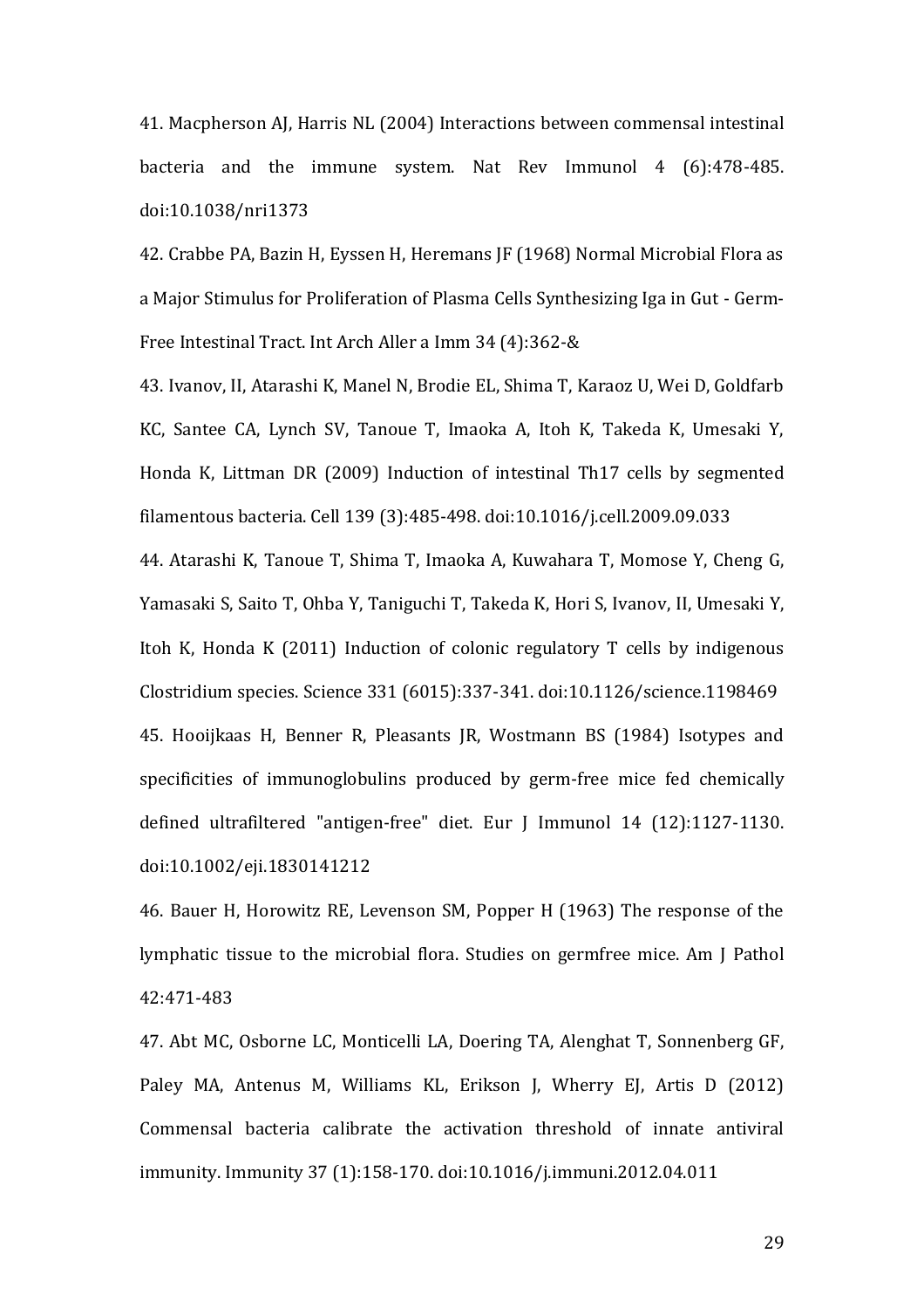<span id="page-28-0"></span>41. Macpherson AJ, Harris NL (2004) Interactions between commensal intestinal bacteria and the immune system. Nat Rev Immunol 4 (6):478-485. doi:10.1038/nri1373

<span id="page-28-1"></span>42. Crabbe PA, Bazin H, Eyssen H, Heremans JF (1968) Normal Microbial Flora as a Major Stimulus for Proliferation of Plasma Cells Synthesizing Iga in Gut - Germ-Free Intestinal Tract. Int Arch Aller a Imm 34 (4):362-&

<span id="page-28-2"></span>43. Ivanov, II, Atarashi K, Manel N, Brodie EL, Shima T, Karaoz U, Wei D, Goldfarb KC, Santee CA, Lynch SV, Tanoue T, Imaoka A, Itoh K, Takeda K, Umesaki Y, Honda K, Littman DR (2009) Induction of intestinal Th17 cells by segmented filamentous bacteria. Cell 139 (3):485-498. doi:10.1016/j.cell.2009.09.033

<span id="page-28-4"></span><span id="page-28-3"></span>44. Atarashi K, Tanoue T, Shima T, Imaoka A, Kuwahara T, Momose Y, Cheng G, Yamasaki S, Saito T, Ohba Y, Taniguchi T, Takeda K, Hori S, Ivanov, II, Umesaki Y, Itoh K, Honda K (2011) Induction of colonic regulatory T cells by indigenous Clostridium species. Science 331 (6015):337-341. doi:10.1126/science.1198469 45. Hooijkaas H, Benner R, Pleasants JR, Wostmann BS (1984) Isotypes and specificities of immunoglobulins produced by germ-free mice fed chemically defined ultrafiltered "antigen-free" diet. Eur J Immunol 14 (12):1127-1130. doi:10.1002/eji.1830141212

<span id="page-28-5"></span>46. Bauer H, Horowitz RE, Levenson SM, Popper H (1963) The response of the lymphatic tissue to the microbial flora. Studies on germfree mice. Am J Pathol 42:471-483

<span id="page-28-6"></span>47. Abt MC, Osborne LC, Monticelli LA, Doering TA, Alenghat T, Sonnenberg GF, Paley MA, Antenus M, Williams KL, Erikson J, Wherry EJ, Artis D (2012) Commensal bacteria calibrate the activation threshold of innate antiviral immunity. Immunity 37 (1):158-170. doi:10.1016/j.immuni.2012.04.011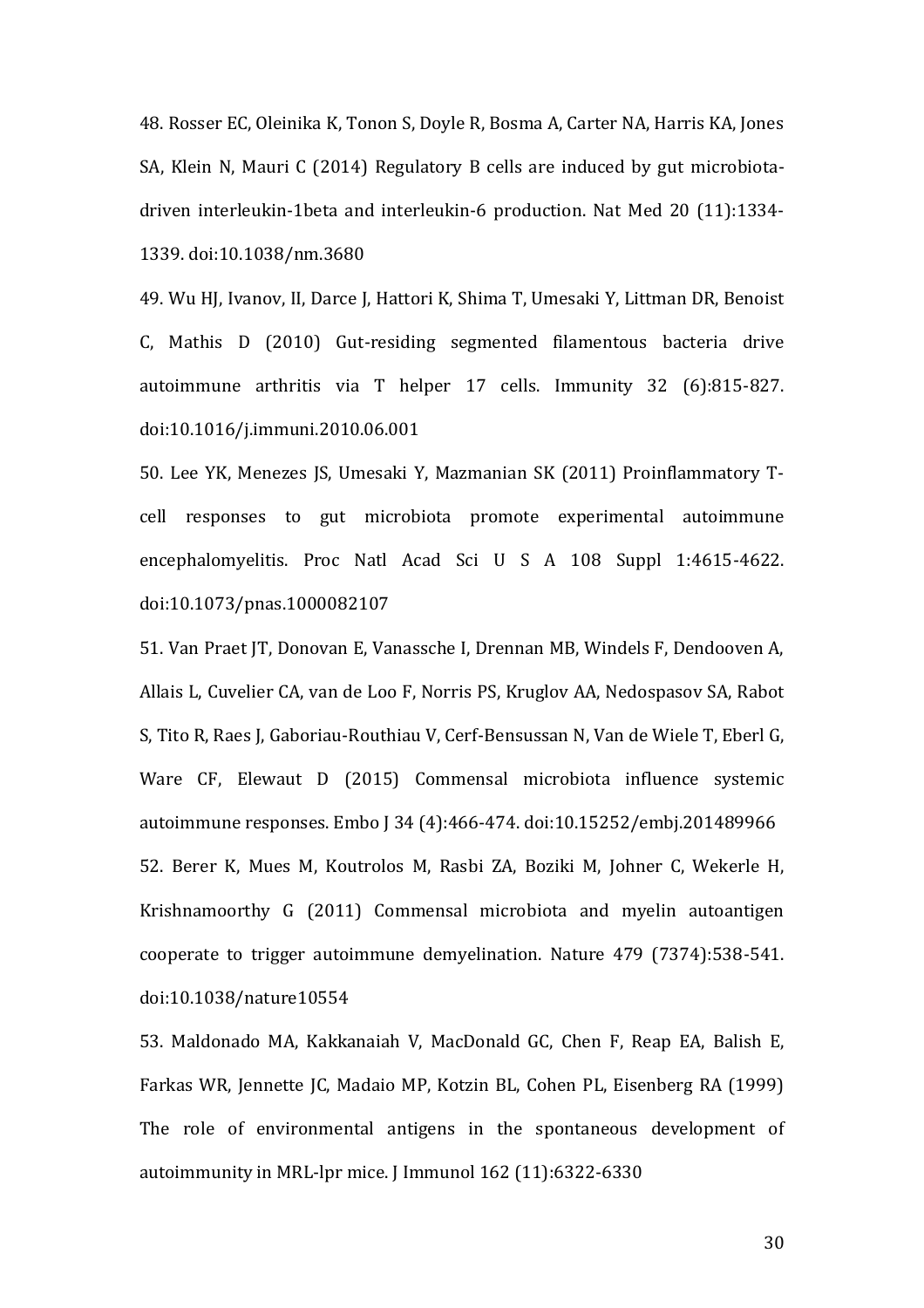<span id="page-29-0"></span>48. Rosser EC, Oleinika K, Tonon S, Doyle R, Bosma A, Carter NA, Harris KA, Jones SA, Klein N, Mauri C (2014) Regulatory B cells are induced by gut microbiotadriven interleukin-1beta and interleukin-6 production. Nat Med 20 (11):1334- 1339. doi:10.1038/nm.3680

<span id="page-29-1"></span>49. Wu HJ, Ivanov, II, Darce J, Hattori K, Shima T, Umesaki Y, Littman DR, Benoist C, Mathis D (2010) Gut-residing segmented filamentous bacteria drive autoimmune arthritis via T helper 17 cells. Immunity 32 (6):815-827. doi:10.1016/j.immuni.2010.06.001

<span id="page-29-2"></span>50. Lee YK, Menezes JS, Umesaki Y, Mazmanian SK (2011) Proinflammatory Tcell responses to gut microbiota promote experimental autoimmune encephalomyelitis. Proc Natl Acad Sci U S A 108 Suppl 1:4615-4622. doi:10.1073/pnas.1000082107

<span id="page-29-3"></span>51. Van Praet JT, Donovan E, Vanassche I, Drennan MB, Windels F, Dendooven A, Allais L, Cuvelier CA, van de Loo F, Norris PS, Kruglov AA, Nedospasov SA, Rabot S, Tito R, Raes J, Gaboriau-Routhiau V, Cerf-Bensussan N, Van de Wiele T, Eberl G, Ware CF, Elewaut D (2015) Commensal microbiota influence systemic autoimmune responses. Embo J 34 (4):466-474. doi:10.15252/embj.201489966 52. Berer K, Mues M, Koutrolos M, Rasbi ZA, Boziki M, Johner C, Wekerle H, Krishnamoorthy G (2011) Commensal microbiota and myelin autoantigen cooperate to trigger autoimmune demyelination. Nature 479 (7374):538-541. doi:10.1038/nature10554

<span id="page-29-5"></span><span id="page-29-4"></span>53. Maldonado MA, Kakkanaiah V, MacDonald GC, Chen F, Reap EA, Balish E, Farkas WR, Jennette JC, Madaio MP, Kotzin BL, Cohen PL, Eisenberg RA (1999) The role of environmental antigens in the spontaneous development of autoimmunity in MRL-lpr mice. J Immunol 162 (11):6322-6330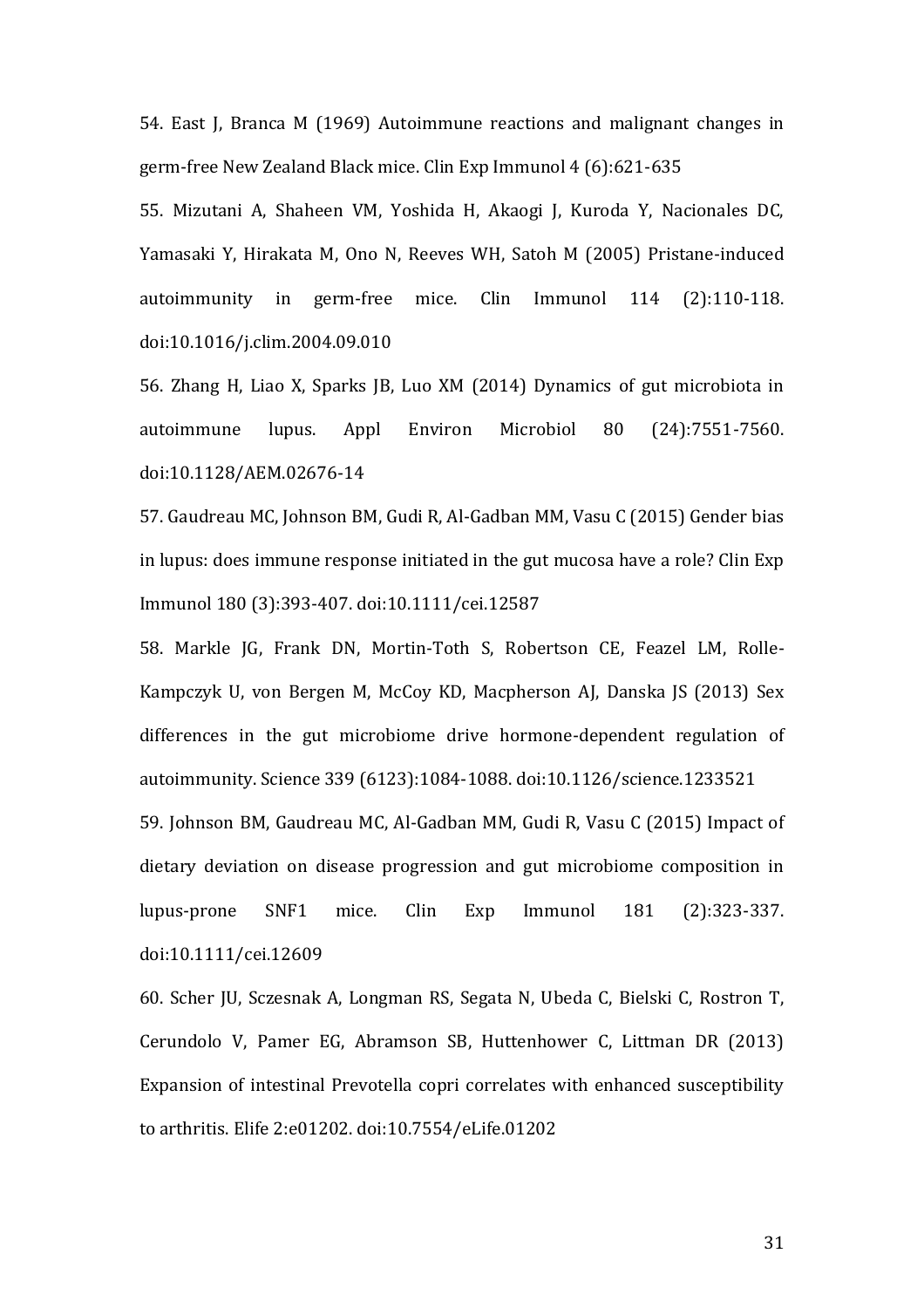54. East J, Branca M (1969) Autoimmune reactions and malignant changes in germ-free New Zealand Black mice. Clin Exp Immunol 4 (6):621-635

55. Mizutani A, Shaheen VM, Yoshida H, Akaogi J, Kuroda Y, Nacionales DC, Yamasaki Y, Hirakata M, Ono N, Reeves WH, Satoh M (2005) Pristane-induced autoimmunity in germ-free mice. Clin Immunol 114 (2):110-118. doi:10.1016/j.clim.2004.09.010

<span id="page-30-0"></span>56. Zhang H, Liao X, Sparks JB, Luo XM (2014) Dynamics of gut microbiota in autoimmune lupus. Appl Environ Microbiol 80 (24):7551-7560. doi:10.1128/AEM.02676-14

<span id="page-30-1"></span>57. Gaudreau MC, Johnson BM, Gudi R, Al-Gadban MM, Vasu C (2015) Gender bias in lupus: does immune response initiated in the gut mucosa have a role? Clin Exp Immunol 180 (3):393-407. doi:10.1111/cei.12587

<span id="page-30-3"></span><span id="page-30-2"></span>58. Markle JG, Frank DN, Mortin-Toth S, Robertson CE, Feazel LM, Rolle-Kampczyk U, von Bergen M, McCoy KD, Macpherson AJ, Danska JS (2013) Sex differences in the gut microbiome drive hormone-dependent regulation of autoimmunity. Science 339 (6123):1084-1088. doi:10.1126/science.1233521 59. Johnson BM, Gaudreau MC, Al-Gadban MM, Gudi R, Vasu C (2015) Impact of dietary deviation on disease progression and gut microbiome composition in lupus-prone SNF1 mice. Clin Exp Immunol 181 (2):323-337. doi:10.1111/cei.12609

<span id="page-30-4"></span>60. Scher JU, Sczesnak A, Longman RS, Segata N, Ubeda C, Bielski C, Rostron T, Cerundolo V, Pamer EG, Abramson SB, Huttenhower C, Littman DR (2013) Expansion of intestinal Prevotella copri correlates with enhanced susceptibility to arthritis. Elife 2:e01202. doi:10.7554/eLife.01202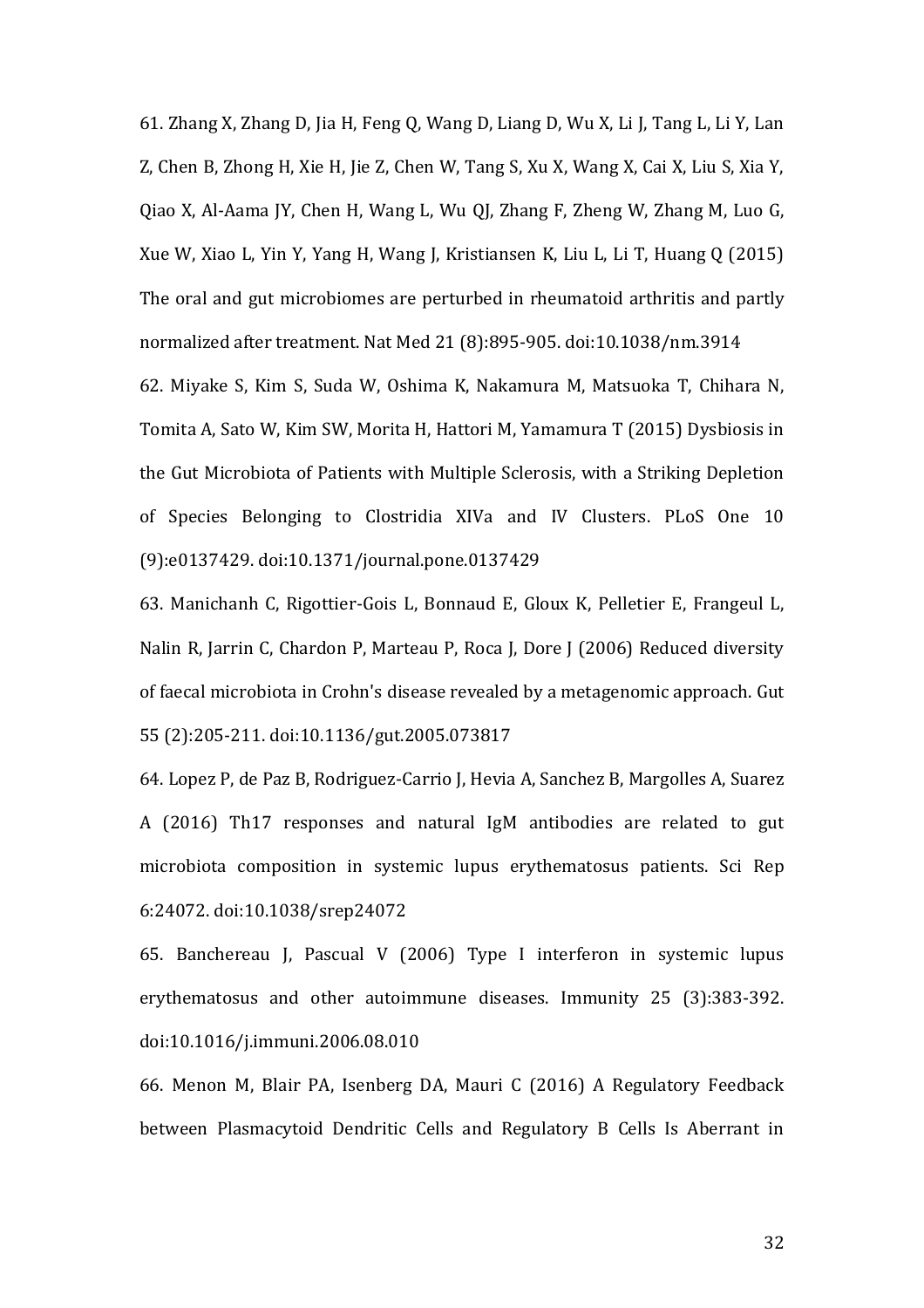<span id="page-31-0"></span>61. Zhang X, Zhang D, Jia H, Feng Q, Wang D, Liang D, Wu X, Li J, Tang L, Li Y, Lan Z, Chen B, Zhong H, Xie H, Jie Z, Chen W, Tang S, Xu X, Wang X, Cai X, Liu S, Xia Y, Qiao X, Al-Aama JY, Chen H, Wang L, Wu QJ, Zhang F, Zheng W, Zhang M, Luo G, Xue W, Xiao L, Yin Y, Yang H, Wang J, Kristiansen K, Liu L, Li T, Huang Q (2015) The oral and gut microbiomes are perturbed in rheumatoid arthritis and partly normalized after treatment. Nat Med 21 (8):895-905. doi:10.1038/nm.3914 62. Miyake S, Kim S, Suda W, Oshima K, Nakamura M, Matsuoka T, Chihara N, Tomita A, Sato W, Kim SW, Morita H, Hattori M, Yamamura T (2015) Dysbiosis in the Gut Microbiota of Patients with Multiple Sclerosis, with a Striking Depletion of Species Belonging to Clostridia XIVa and IV Clusters. PLoS One 10 (9):e0137429. doi:10.1371/journal.pone.0137429

<span id="page-31-2"></span><span id="page-31-1"></span>63. Manichanh C, Rigottier-Gois L, Bonnaud E, Gloux K, Pelletier E, Frangeul L, Nalin R, Jarrin C, Chardon P, Marteau P, Roca J, Dore J (2006) Reduced diversity of faecal microbiota in Crohn's disease revealed by a metagenomic approach. Gut 55 (2):205-211. doi:10.1136/gut.2005.073817

<span id="page-31-3"></span>64. Lopez P, de Paz B, Rodriguez-Carrio J, Hevia A, Sanchez B, Margolles A, Suarez A (2016) Th17 responses and natural IgM antibodies are related to gut microbiota composition in systemic lupus erythematosus patients. Sci Rep 6:24072. doi:10.1038/srep24072

<span id="page-31-4"></span>65. Banchereau J, Pascual V (2006) Type I interferon in systemic lupus erythematosus and other autoimmune diseases. Immunity 25 (3):383-392. doi:10.1016/j.immuni.2006.08.010

<span id="page-31-5"></span>66. Menon M, Blair PA, Isenberg DA, Mauri C (2016) A Regulatory Feedback between Plasmacytoid Dendritic Cells and Regulatory B Cells Is Aberrant in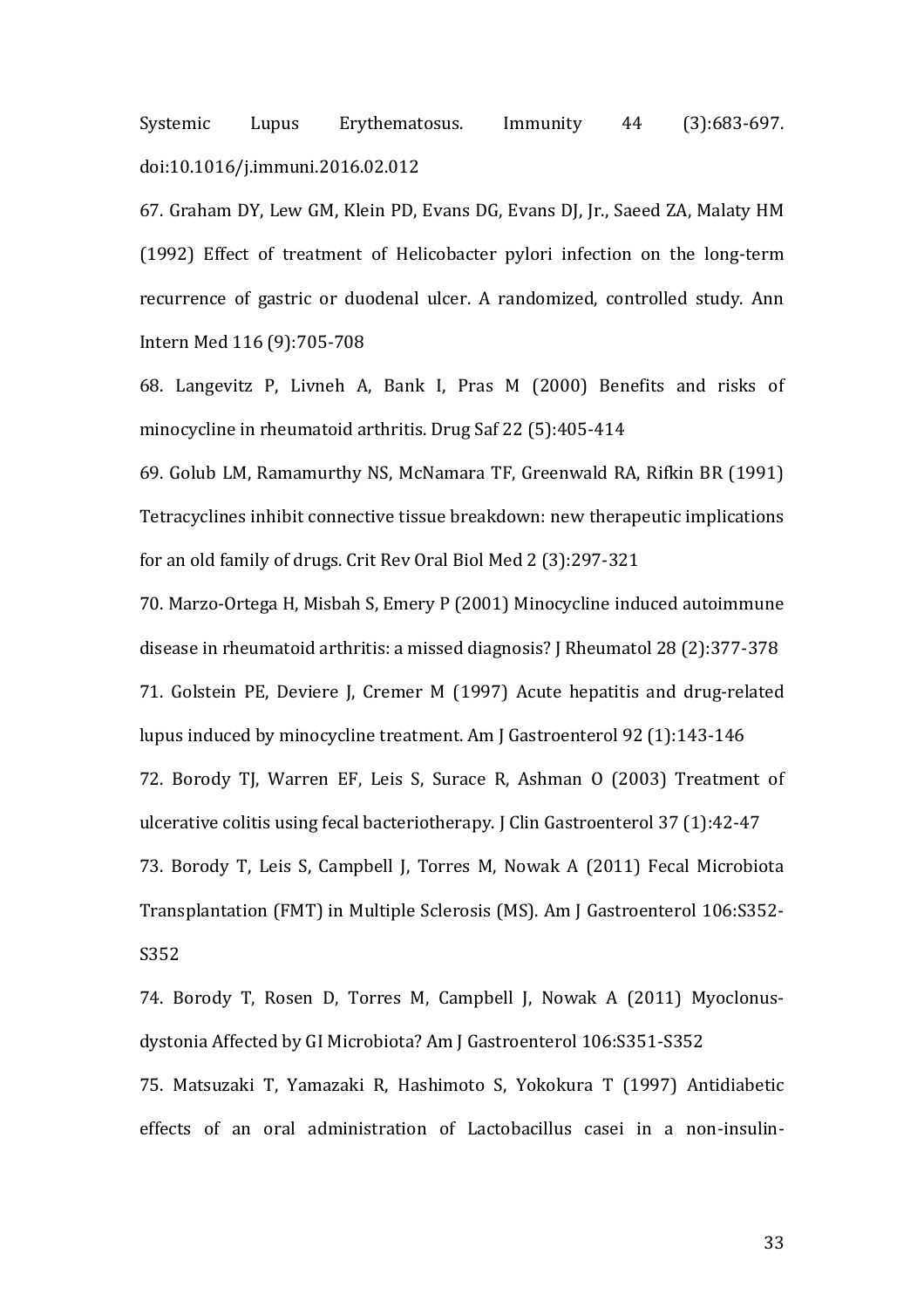Systemic Lupus Erythematosus. Immunity 44 (3):683-697. doi:10.1016/j.immuni.2016.02.012

<span id="page-32-0"></span>67. Graham DY, Lew GM, Klein PD, Evans DG, Evans DJ, Jr., Saeed ZA, Malaty HM (1992) Effect of treatment of Helicobacter pylori infection on the long-term recurrence of gastric or duodenal ulcer. A randomized, controlled study. Ann Intern Med 116 (9):705-708

<span id="page-32-1"></span>68. Langevitz P, Livneh A, Bank I, Pras M (2000) Benefits and risks of minocycline in rheumatoid arthritis. Drug Saf 22 (5):405-414

<span id="page-32-2"></span>69. Golub LM, Ramamurthy NS, McNamara TF, Greenwald RA, Rifkin BR (1991) Tetracyclines inhibit connective tissue breakdown: new therapeutic implications for an old family of drugs. Crit Rev Oral Biol Med 2 (3):297-321

<span id="page-32-5"></span><span id="page-32-4"></span><span id="page-32-3"></span>70. Marzo-Ortega H, Misbah S, Emery P (2001) Minocycline induced autoimmune disease in rheumatoid arthritis: a missed diagnosis? J Rheumatol 28 (2):377-378 71. Golstein PE, Deviere J, Cremer M (1997) Acute hepatitis and drug-related lupus induced by minocycline treatment. Am J Gastroenterol 92 (1):143-146 72. Borody TJ, Warren EF, Leis S, Surace R, Ashman O (2003) Treatment of ulcerative colitis using fecal bacteriotherapy. J Clin Gastroenterol 37 (1):42-47 73. Borody T, Leis S, Campbell J, Torres M, Nowak A (2011) Fecal Microbiota Transplantation (FMT) in Multiple Sclerosis (MS). Am J Gastroenterol 106:S352- S352

<span id="page-32-8"></span><span id="page-32-7"></span><span id="page-32-6"></span>74. Borody T, Rosen D, Torres M, Campbell J, Nowak A (2011) Myoclonusdystonia Affected by GI Microbiota? Am J Gastroenterol 106:S351-S352 75. Matsuzaki T, Yamazaki R, Hashimoto S, Yokokura T (1997) Antidiabetic effects of an oral administration of Lactobacillus casei in a non-insulin-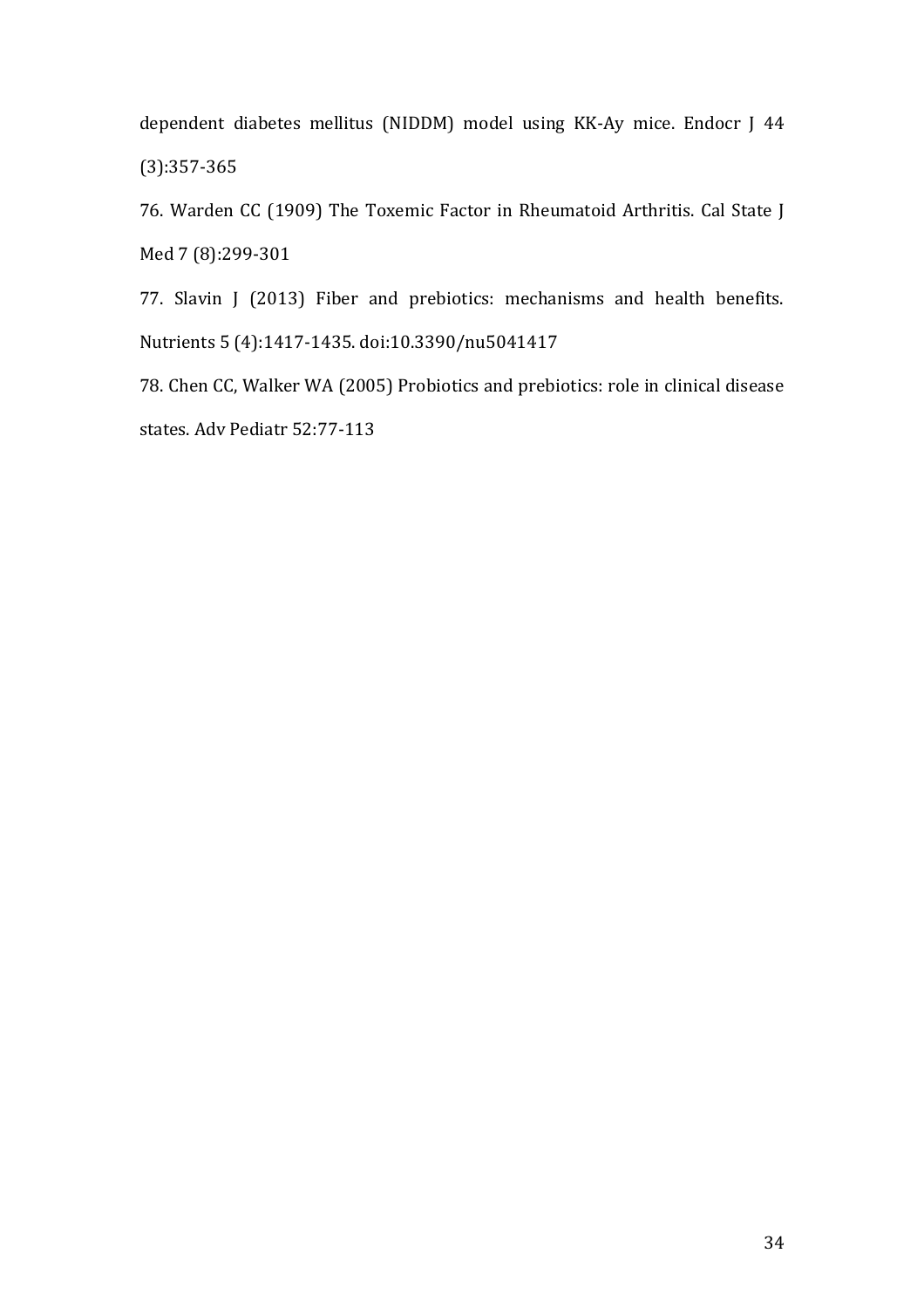dependent diabetes mellitus (NIDDM) model using KK-Ay mice. Endocr J 44 (3):357-365

<span id="page-33-0"></span>76. Warden CC (1909) The Toxemic Factor in Rheumatoid Arthritis. Cal State J Med 7 (8):299-301

<span id="page-33-1"></span>77. Slavin J (2013) Fiber and prebiotics: mechanisms and health benefits. Nutrients 5 (4):1417-1435. doi:10.3390/nu5041417

<span id="page-33-2"></span>78. Chen CC, Walker WA (2005) Probiotics and prebiotics: role in clinical disease states. Adv Pediatr 52:77-113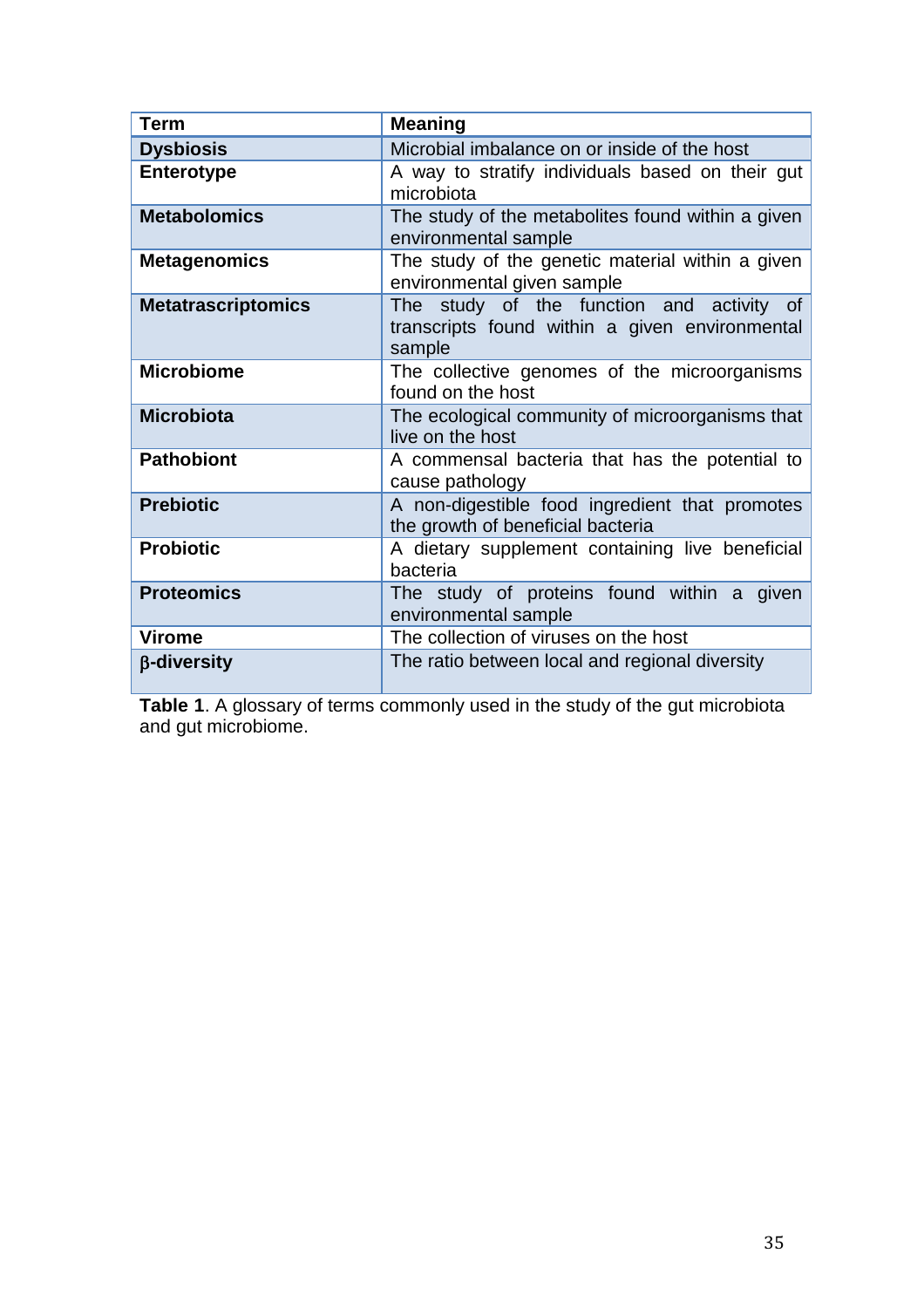| <b>Term</b>               | <b>Meaning</b>                                                                                        |  |  |
|---------------------------|-------------------------------------------------------------------------------------------------------|--|--|
| <b>Dysbiosis</b>          | Microbial imbalance on or inside of the host                                                          |  |  |
| <b>Enterotype</b>         | A way to stratify individuals based on their gut<br>microbiota                                        |  |  |
| <b>Metabolomics</b>       | The study of the metabolites found within a given<br>environmental sample                             |  |  |
| <b>Metagenomics</b>       | The study of the genetic material within a given<br>environmental given sample                        |  |  |
| <b>Metatrascriptomics</b> | The study of the function and activity of<br>transcripts found within a given environmental<br>sample |  |  |
| <b>Microbiome</b>         | The collective genomes of the microorganisms<br>found on the host                                     |  |  |
| <b>Microbiota</b>         | The ecological community of microorganisms that<br>live on the host                                   |  |  |
| <b>Pathobiont</b>         | A commensal bacteria that has the potential to<br>cause pathology                                     |  |  |
| <b>Prebiotic</b>          | A non-digestible food ingredient that promotes<br>the growth of beneficial bacteria                   |  |  |
| <b>Probiotic</b>          | A dietary supplement containing live beneficial<br>bacteria                                           |  |  |
| <b>Proteomics</b>         | The study of proteins found within a given<br>environmental sample                                    |  |  |
| <b>Virome</b>             | The collection of viruses on the host                                                                 |  |  |
| β-diversity               | The ratio between local and regional diversity                                                        |  |  |

**Table 1**. A glossary of terms commonly used in the study of the gut microbiota and gut microbiome.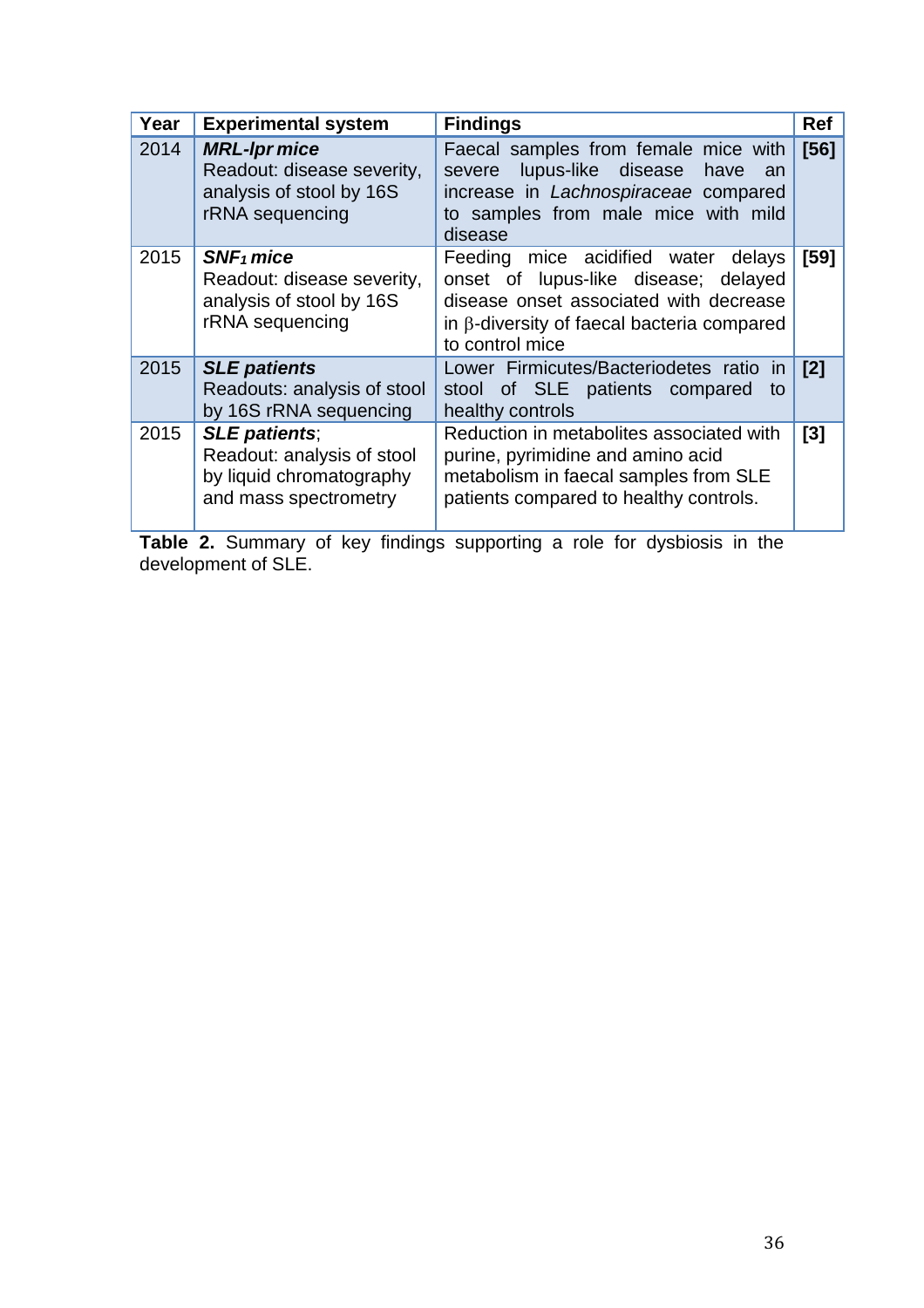| Year | <b>Experimental system</b>                                                                                               | <b>Findings</b>                                                                                                                                                                                  | Ref  |
|------|--------------------------------------------------------------------------------------------------------------------------|--------------------------------------------------------------------------------------------------------------------------------------------------------------------------------------------------|------|
| 2014 | <b>MRL-Ipr mice</b><br>Readout: disease severity,<br>analysis of stool by 16S<br>rRNA sequencing                         | Faecal samples from female mice with<br>severe lupus-like disease<br>have<br>an<br>increase in Lachnospiraceae compared<br>to samples from male mice with mild<br>disease                        | [56] |
| 2015 | $SNF_1$ mice<br>Readout: disease severity,<br>analysis of stool by 16S<br>rRNA sequencing                                | Feeding mice acidified water<br>delays<br>onset of lupus-like disease; delayed<br>disease onset associated with decrease<br>in $\beta$ -diversity of faecal bacteria compared<br>to control mice | [59] |
| 2015 | <b>SLE patients</b><br>Readouts: analysis of stool<br>by 16S rRNA sequencing                                             | Lower Firmicutes/Bacteriodetes ratio<br>in<br>stool of SLE patients compared<br>to<br>healthy controls                                                                                           | [2]  |
| 2015 | <b>SLE patients;</b><br>Readout: analysis of stool<br>by liquid chromatography<br>and mass spectrometry<br>$\sim$ $\sim$ | Reduction in metabolites associated with<br>purine, pyrimidine and amino acid<br>metabolism in faecal samples from SLE<br>patients compared to healthy controls.<br>.                            | [3]  |

**Table 2.** Summary of key findings supporting a role for dysbiosis in the development of SLE.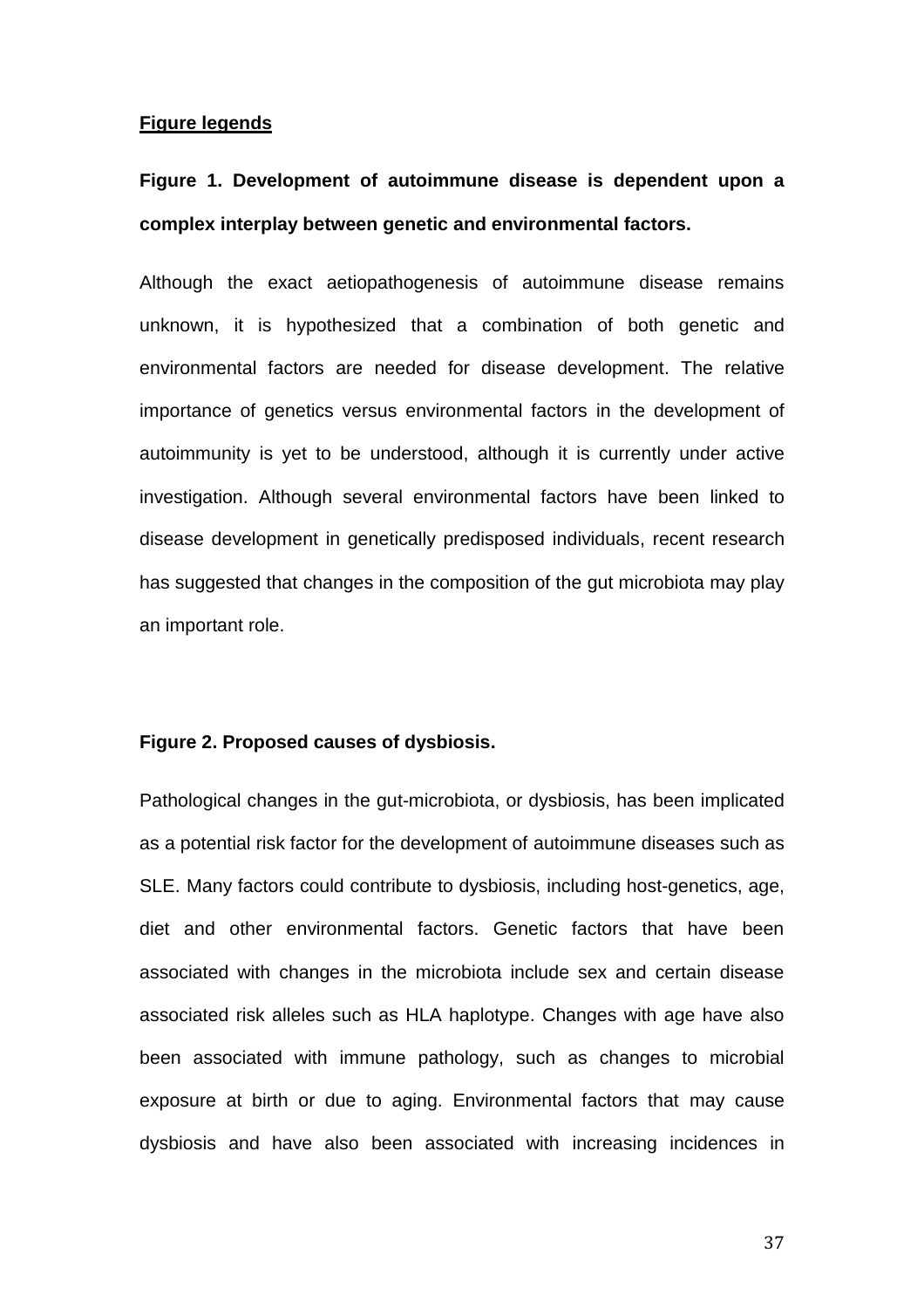### **Figure legends**

# **Figure 1. Development of autoimmune disease is dependent upon a complex interplay between genetic and environmental factors.**

Although the exact aetiopathogenesis of autoimmune disease remains unknown, it is hypothesized that a combination of both genetic and environmental factors are needed for disease development. The relative importance of genetics versus environmental factors in the development of autoimmunity is yet to be understood, although it is currently under active investigation. Although several environmental factors have been linked to disease development in genetically predisposed individuals, recent research has suggested that changes in the composition of the gut microbiota may play an important role.

### **Figure 2. Proposed causes of dysbiosis.**

Pathological changes in the gut-microbiota, or dysbiosis, has been implicated as a potential risk factor for the development of autoimmune diseases such as SLE. Many factors could contribute to dysbiosis, including host-genetics, age, diet and other environmental factors. Genetic factors that have been associated with changes in the microbiota include sex and certain disease associated risk alleles such as HLA haplotype. Changes with age have also been associated with immune pathology, such as changes to microbial exposure at birth or due to aging. Environmental factors that may cause dysbiosis and have also been associated with increasing incidences in